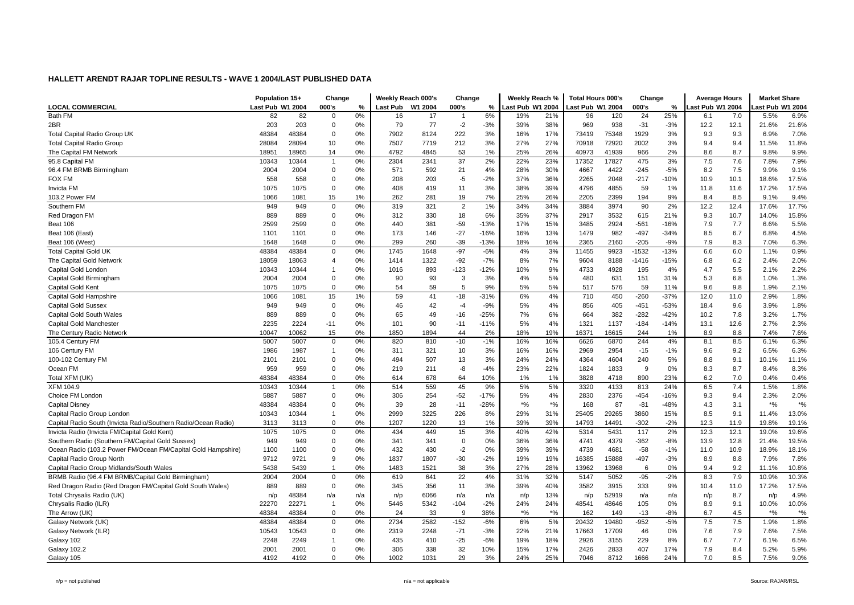|                                                                | Population 15+   |       | Change                  |     | Weekly Reach 000's |         | Change         |        | Weekly Reach %   |        | Total Hours 000's |       | Change  |        | <b>Average Hours</b> |      | <b>Market Share</b> |                    |
|----------------------------------------------------------------|------------------|-------|-------------------------|-----|--------------------|---------|----------------|--------|------------------|--------|-------------------|-------|---------|--------|----------------------|------|---------------------|--------------------|
| <b>LOCAL COMMERCIAL</b>                                        | Last Pub W1 2004 |       | 000's                   | %   | <b>Last Pub</b>    | W1 2004 | 000's          | %      | Last Pub W1 2004 |        | ast Pub W1 2004   |       | 000's   | %      | ast Pub W1 2004      |      | ast Pub W1 2004     |                    |
| Bath FM                                                        | 82               | 82    | 0                       | 0%  | 16                 | 17      | $\overline{1}$ | 6%     | 19%              | 21%    | 96                | 120   | 24      | 25%    | 6.1                  | 7.0  | 5.5%                | 6.9%               |
| 2BR                                                            | 203              | 203   | $\overline{0}$          | 0%  | 79                 | 77      | $-2$           | $-3%$  | 39%              | 38%    | 969               | 938   | $-31$   | $-3%$  | 12.2                 | 12.1 | 21.6%               | 21.6%              |
| <b>Total Capital Radio Group UK</b>                            | 48384            | 48384 | $\overline{0}$          | 0%  | 7902               | 8124    | 222            | 3%     | 16%              | 17%    | 73419             | 75348 | 1929    | 3%     | 9.3                  | 9.3  | 6.9%                | 7.0%               |
| <b>Total Capital Radio Group</b>                               | 28084            | 28094 | 10                      | 0%  | 7507               | 7719    | 212            | 3%     | 27%              | 27%    | 70918             | 72920 | 2002    | 3%     | 9.4                  | 9.4  | 11.5%               | 11.8%              |
| The Capital FM Network                                         | 18951            | 18965 | 14                      | 0%  | 4792               | 4845    | 53             | 1%     | 25%              | 26%    | 40973             | 41939 | 966     | 2%     | 8.6                  | 8.7  | 9.8%                | 9.9%               |
| 95.8 Capital FM                                                | 10343            | 10344 | $\overline{1}$          | 0%  | 2304               | 2341    | 37             | 2%     | 22%              | 23%    | 17352             | 17827 | 475     | 3%     | 7.5                  | 7.6  | 7.8%                | 7.9%               |
| 96.4 FM BRMB Birmingham                                        | 2004             | 2004  | $\mathbf 0$             | 0%  | 571                | 592     | 21             | 4%     | 28%              | 30%    | 4667              | 4422  | $-245$  | $-5%$  | 8.2                  | 7.5  | 9.9%                | 9.1%               |
| FOX FM                                                         | 558              | 558   | $\overline{0}$          | 0%  | 208                | 203     | $-5$           | $-2%$  | 37%              | 36%    | 2265              | 2048  | $-217$  | $-10%$ | 10.9                 | 10.1 | 18.6%               | 17.5%              |
| <b>Invicta FM</b>                                              | 1075             | 1075  | $\overline{0}$          | 0%  | 408                | 419     | 11             | 3%     | 38%              | 39%    | 4796              | 4855  | 59      | 1%     | 11.8                 | 11.6 | 17.2%               | 17.5%              |
| 103.2 Power FM                                                 | 1066             | 1081  | 15                      | 1%  | 262                | 281     | 19             | 7%     | 25%              | 26%    | 2205              | 2399  | 194     | 9%     | 8.4                  | 8.5  | 9.1%                | 9.4%               |
| Southern FM                                                    | 949              | 949   | $\mathbf 0$             | 0%  | 319                | 321     | $\overline{2}$ | 1%     | 34%              | 34%    | 3884              | 3974  | 90      | 2%     | 12.2                 | 12.4 | 17.6%               | 17.7%              |
| Red Dragon FM                                                  | 889              | 889   | $\mathbf 0$             | 0%  | 312                | 330     | 18             | 6%     | 35%              | 37%    | 2917              | 3532  | 615     | 21%    | 9.3                  | 10.7 | 14.0%               | 15.8%              |
| Beat 106                                                       | 2599             | 2599  | $\mathbf 0$             | 0%  | 440                | 381     | $-59$          | $-13%$ | 17%              | 15%    | 3485              | 2924  | $-561$  | $-16%$ | 7.9                  | 7.7  | 6.6%                | 5.5%               |
| Beat 106 (East)                                                | 1101             | 1101  | $\mathbf 0$             | 0%  | 173                | 146     | $-27$          | $-16%$ | 16%              | 13%    | 1479              | 982   | $-497$  | $-34%$ | 8.5                  | 6.7  | 6.8%                | 4.5%               |
| Beat 106 (West)                                                | 1648             | 1648  | $\mathbf 0$             | 0%  | 299                | 260     | $-39$          | $-13%$ | 18%              | 16%    | 2365              | 2160  | $-205$  | $-9%$  | 7.9                  | 8.3  | 7.0%                | 6.3%               |
| <b>Total Capital Gold UK</b>                                   | 48384            | 48384 | $\mathbf 0$             | 0%  | 1745               | 1648    | $-97$          | $-6%$  | 4%               | 3%     | 11455             | 9923  | -1532   | $-13%$ | 6.6                  | 6.0  | 1.1%                | 0.9%               |
| The Capital Gold Network                                       | 18059            | 18063 | $\overline{4}$          | 0%  | 1414               | 1322    | $-92$          | $-7%$  | 8%               | 7%     | 9604              | 8188  | $-1416$ | $-15%$ | 6.8                  | 6.2  | 2.4%                | 2.0%               |
| Capital Gold Londor                                            | 10343            | 10344 | $\overline{1}$          | 0%  | 1016               | 893     | $-123$         | $-12%$ | 10%              | 9%     | 4733              | 4928  | 195     | 4%     | 4.7                  | 5.5  | 2.1%                | 2.2%               |
| Capital Gold Birmingham                                        | 2004             | 2004  | $\mathbf 0$             | 0%  | 90                 | 93      | 3              | 3%     | 4%               | 5%     | 480               | 631   | 151     | 31%    | 5.3                  | 6.8  | 1.0%                | 1.3%               |
| Capital Gold Kent                                              | 1075             | 1075  | $\mathbf 0$             | 0%  | 54                 | 59      | 5              | 9%     | 5%               | 5%     | 517               | 576   | 59      | 11%    | 9.6                  | 9.8  | 1.9%                | 2.1%               |
| Capital Gold Hampshire                                         | 1066             | 1081  | 15                      | 1%  | 59                 | 41      | $-18$          | $-31%$ | 6%               | 4%     | 710               | 450   | $-260$  | $-37%$ | 12.0                 | 11.0 | 2.9%                | 1.8%               |
| <b>Capital Gold Sussex</b>                                     | 949              | 949   | $\mathbf 0$             | 0%  | 46                 | 42      | $-4$           | $-9%$  | 5%               | 4%     | 856               | 405   | $-451$  | $-53%$ | 18.4                 | 9.6  | 3.9%                | 1.8%               |
| Capital Gold South Wales                                       | 889              | 889   | $\overline{0}$          | 0%  | 65                 | 49      | $-16$          | $-25%$ | 7%               | 6%     | 664               | 382   | $-282$  | $-42%$ | 10.2                 | 7.8  | 3.2%                | 1.7%               |
| Capital Gold Manchester                                        | 2235             | 2224  | $-11$                   | 0%  | 101                | 90      | $-11$          | $-11%$ | 5%               | 4%     | 1321              | 1137  | $-184$  | $-14%$ | 13.1                 | 12.6 | 2.7%                | 2.3%               |
| The Century Radio Network                                      | 10047            | 10062 | 15                      | 0%  | 1850               | 1894    | 44             | 2%     | 18%              | 19%    | 16371             | 16615 | 244     | 1%     | 8.9                  | 8.8  | 7.4%                | 7.6%               |
| 105.4 Century FM                                               | 5007             | 5007  | $\mathbf 0$             | 0%  | 820                | 810     | $-10$          | $-1%$  | 16%              | 16%    | 6626              | 6870  | 244     | 4%     | 8.1                  | 8.5  | 6.1%                | 6.3%               |
| 106 Century FM                                                 | 1986             | 1987  | $\overline{1}$          | 0%  | 311                | 321     | 10             | 3%     | 16%              | 16%    | 2969              | 2954  | $-15$   | $-1%$  | 9.6                  | 9.2  | 6.5%                | 6.3%               |
| 100-102 Century FM                                             | 2101             | 2101  | $\mathbf 0$             | 0%  | 494                | 507     | 13             | 3%     | 24%              | 24%    | 4364              | 4604  | 240     | 5%     | 8.8                  | 9.1  | 10.1%               | 11.1%              |
| Ocean FM                                                       | 959              | 959   | $\Omega$                | 0%  | 219                | 211     | -8             | $-4%$  | 23%              | 22%    | 1824              | 1833  | 9       | 0%     | 8.3                  | 8.7  | 8.4%                | 8.3%               |
| Total XFM (UK)                                                 | 48384            | 48384 | $\mathbf 0$             | 0%  | 614                | 678     | 64             | 10%    | 1%               | 1%     | 3828              | 4718  | 890     | 23%    | 6.2                  | 7.0  | 0.4%                | 0.4%               |
| XFM 104.9                                                      | 10343            | 10344 | $\overline{1}$          | 0%  | 514                | 559     | 45             | 9%     | 5%               | 5%     | 3320              | 4133  | 813     | 24%    | 6.5                  | 7.4  | 1.5%                | 1.8%               |
| Choice FM London                                               | 5887             | 5887  | $\mathbf 0$             | 0%  | 306                | 254     | $-52$          | $-17%$ | 5%               | 4%     | 2830              | 2376  | $-454$  | $-16%$ | 9.3                  | 9.4  | 2.3%                | 2.0%               |
| <b>Capital Disney</b>                                          | 48384            | 48384 | $\overline{0}$          | 0%  | 39                 | 28      | $-11$          | $-28%$ | $*$ %            | $*$ %  | 168               | 87    | $-81$   | $-48%$ | 4.3                  | 3.1  | $*$ %               | $*$ %              |
| Capital Radio Group London                                     | 10343            | 10344 | $\overline{1}$          | 0%  | 2999               | 3225    | 226            | 8%     | 29%              | 31%    | 25405             | 29265 | 3860    | 15%    | 8.5                  | 9.1  | 11.4%               | 13.0%              |
| Capital Radio South (Invicta Radio/Southern Radio/Ocean Radio) | 3113             | 3113  | $\mathbf 0$             | 0%  | 1207               | 1220    | 13             | 1%     | 39%              | 39%    | 14793             | 14491 | $-302$  | $-2%$  | 12.3                 | 11.9 | 19.8%               | 19.1%              |
| Invicta Radio (Invicta FM/Capital Gold Kent)                   | 1075             | 1075  | $\mathbf 0$             | 0%  | 434                | 449     | 15             | 3%     | 40%              | 42%    | 5314              | 5431  | 117     | 2%     | 12.3                 | 12.1 | 19.0%               | 19.6%              |
| Southern Radio (Southern FM/Capital Gold Sussex)               | 949              | 949   | $\mathbf 0$             | 0%  | 341                | 341     | $\Omega$       | 0%     | 36%              | 36%    | 4741              | 4379  | -362    | -8%    | 13.9                 | 12.8 | 21.4%               | 19.5%              |
| Ocean Radio (103.2 Power FM/Ocean FM/Capital Gold Hampshire)   | 1100             | 1100  | $\mathbf 0$             | 0%  | 432                | 430     | $-2$           | 0%     | 39%              | 39%    | 4739              | 4681  | $-58$   | $-1%$  | 11.0                 | 10.9 | 18.9%               | 18.1%              |
| Capital Radio Group North                                      | 9712             | 9721  | 9                       | 0%  | 1837               | 1807    | $-30$          | $-2%$  | 19%              | 19%    | 16385             | 15888 | $-497$  | $-3%$  | 8.9                  | 8.8  | 7.9%                | 7.8%               |
| Capital Radio Group Midlands/South Wales                       | 5438             | 5439  | $\overline{1}$          | 0%  | 1483               | 1521    | 38             | 3%     | 27%              | 28%    | 13962             | 13968 | 6       | 0%     | 9.4                  | 9.2  | 11.1%               | 10.8%              |
| BRMB Radio (96.4 FM BRMB/Capital Gold Birmingham)              | 2004             | 2004  | $\mathbf 0$             | 0%  | 619                | 641     | 22             | 4%     | 31%              | 32%    | 5147              | 5052  | $-95$   | $-2%$  | 8.3                  | 7.9  | 10.9%               | 10.3%              |
| Red Dragon Radio (Red Dragon FM/Capital Gold South Wales)      | 889              | 889   | $\mathbf 0$             | 0%  | 345                | 356     | 11             | 3%     | 39%              | 40%    | 3582              | 3915  | 333     | 9%     | 10.4                 | 11.0 | 17.2%               | 17.5%              |
| Total Chrysalis Radio (UK)                                     | n/p              | 48384 | n/a                     | n/a | n/p                | 6066    | n/a            | n/a    | n/p              | 13%    | n/p               | 52919 | n/a     | n/a    | n/p                  | 8.7  | n/p                 | 4.9%               |
| Chrysalis Radio (ILR)                                          | 22270            | 22271 | $\overline{\mathbf{1}}$ | 0%  | 5446               | 5342    | $-104$         | $-2%$  | 24%              | 24%    | 48541             | 48646 | 105     | $0\%$  | 8.9                  | 9.1  | 10.0%               | 10.0%              |
| The Arrow (UK)                                                 | 48384            | 48384 | $\mathbf 0$             | 0%  | 24                 | 33      | 9              | 38%    | $*$ %            | $*9/0$ | 162               | 149   | $-13$   | $-8%$  | 6.7                  | 4.5  | $*9/0$              | $\boldsymbol{*}$ % |
| Galaxy Network (UK)                                            | 48384            | 48384 | $\mathbf 0$             | 0%  | 2734               | 2582    | $-152$         | $-6%$  | 6%               | 5%     | 20432             | 19480 | $-952$  | $-5%$  | 7.5                  | 7.5  | 1.9%                | 1.8%               |
| Galaxy Network (ILR)                                           | 10543            | 10543 | $\mathbf 0$             | 0%  | 2319               | 2248    | $-71$          | $-3%$  | 22%              | 21%    | 17663             | 17709 | 46      | 0%     | 7.6                  | 7.9  | 7.6%                | 7.5%               |
| Galaxy 102                                                     | 2248             | 2249  | $\overline{1}$          | 0%  | 435                | 410     | $-25$          | $-6%$  | 19%              | 18%    | 2926              | 3155  | 229     | 8%     | 6.7                  | 7.7  | 6.1%                | 6.5%               |
| <b>Galaxy 102.2</b>                                            | 2001             | 2001  | $\mathbf 0$             | 0%  | 306                | 338     | 32             | 10%    | 15%              | 17%    | 2426              | 2833  | 407     | 17%    | 7.9                  | 8.4  | 5.2%                | 5.9%               |
| Galaxy 105                                                     | 4192             | 4192  | $\Omega$                | 0%  | 1002               | 1031    | 29             | 3%     | 24%              | 25%    | 7046              | 8712  | 1666    | 24%    | 7.0                  | 8.5  | 7.5%                | 9.0%               |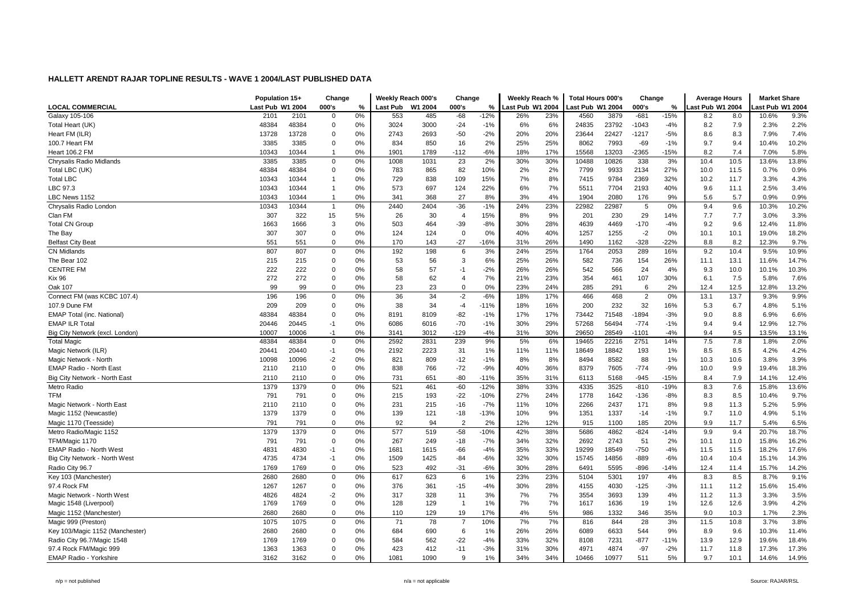|                                   | Population 15+   |       | Change         |    | Weeklv Reach 000's |         | Change                  |        | Weekly Reach %   |     | <b>Total Hours 000's</b> |       | Change         |        | <b>Average Hours</b> |      | <b>Market Share</b> |       |
|-----------------------------------|------------------|-------|----------------|----|--------------------|---------|-------------------------|--------|------------------|-----|--------------------------|-------|----------------|--------|----------------------|------|---------------------|-------|
| <b>LOCAL COMMERCIAL</b>           | Last Pub W1 2004 |       | 000's          | %  | Last Pub           | W1 2004 | 000's                   | %      | Last Pub W1 2004 |     | ast Pub W1 2004          |       | 000's          | %      | ast Pub W1 2004      |      | ast Pub W1 2004     |       |
| Galaxy 105-106                    | 2101             | 2101  | $\mathbf 0$    | 0% | 553                | 485     | $-68$                   | $-12%$ | 26%              | 23% | 4560                     | 3879  | $-681$         | $-15%$ | 8.2                  | 8.0  | 10.6%               | 9.3%  |
| Total Heart (UK)                  | 48384            | 48384 | $\Omega$       | 0% | 3024               | 3000    | $-24$                   | $-1%$  | 6%               | 6%  | 24835                    | 23792 | $-1043$        | $-4%$  | 8.2                  | 7.9  | 2.3%                | 2.2%  |
| Heart FM (ILR)                    | 13728            | 13728 | $\Omega$       | 0% | 2743               | 2693    | $-50$                   | $-2%$  | 20%              | 20% | 23644                    | 22427 | $-1217$        | $-5%$  | 8.6                  | 8.3  | 7.9%                | 7.4%  |
| 100.7 Heart FM                    | 3385             | 3385  | $\Omega$       | 0% | 834                | 850     | 16                      | 2%     | 25%              | 25% | 8062                     | 7993  | $-69$          | $-1%$  | 9.7                  | 9.4  | 10.4%               | 10.2% |
| <b>Heart 106.2 FM</b>             | 10343            | 10344 | $\overline{1}$ | 0% | 1901               | 1789    | -112                    | -6%    | 18%              | 17% | 15568                    | 13203 | -2365          | $-15%$ | 8.2                  | 7.4  | 7.0%                | 5.8%  |
| Chrysalis Radio Midlands          | 3385             | 3385  | $\mathbf 0$    | 0% | 1008               | 1031    | 23                      | 2%     | 30%              | 30% | 10488                    | 10826 | 338            | 3%     | 10.4                 | 10.5 | 13.6%               | 13.8% |
| Total LBC (UK)                    | 48384            | 48384 | $\Omega$       | 0% | 783                | 865     | 82                      | 10%    | 2%               | 2%  | 7799                     | 9933  | 2134           | 27%    | 10.0                 | 11.5 | 0.7%                | 0.9%  |
| <b>Total LBC</b>                  | 10343            | 10344 | $\overline{1}$ | 0% | 729                | 838     | 109                     | 15%    | 7%               | 8%  | 7415                     | 9784  | 2369           | 32%    | 10.2                 | 11.7 | 3.3%                | 4.3%  |
| LBC 97.3                          | 10343            | 10344 | $\overline{1}$ | 0% | 573                | 697     | 124                     | 22%    | 6%               | 7%  | 5511                     | 7704  | 2193           | 40%    | 9.6                  | 11.1 | 2.5%                | 3.4%  |
| LBC News 1152                     | 10343            | 10344 | $\overline{1}$ | 0% | 341                | 368     | 27                      | 8%     | 3%               | 4%  | 1904                     | 2080  | 176            | 9%     | 5.6                  | 5.7  | 0.9%                | 0.9%  |
| Chrysalis Radio London            | 10343            | 10344 | $\mathbf{1}$   | 0% | 2440               | 2404    | $-36$                   | $-1%$  | 24%              | 23% | 22982                    | 22987 | 5              | 0%     | 9.4                  | 9.6  | 10.3%               | 10.2% |
| Clan FM                           | 307              | 322   | 15             | 5% | 26                 | 30      | $\overline{4}$          | 15%    | 8%               | 9%  | 201                      | 230   | 29             | 14%    | 7.7                  | 7.7  | 3.0%                | 3.3%  |
| <b>Total CN Group</b>             | 1663             | 1666  | 3              | 0% | 503                | 464     | $-39$                   | $-8%$  | 30%              | 28% | 4639                     | 4469  | $-170$         | $-4%$  | 9.2                  | 9.6  | 12.4%               | 11.8% |
| The Bay                           | 307              | 307   | $\Omega$       | 0% | 124                | 124     | $\mathbf 0$             | 0%     | 40%              | 40% | 1257                     | 1255  | $-2$           | $0\%$  | 10.1                 | 10.1 | 19.0%               | 18.2% |
| <b>Belfast City Beat</b>          | 551              | 551   | $\Omega$       | 0% | 170                | 143     | $-27$                   | $-16%$ | 31%              | 26% | 1490                     | 1162  | $-328$         | $-22%$ | 8.8                  | 8.2  | 12.3%               | 9.7%  |
| <b>CN Midlands</b>                | 807              | 807   | $\mathbf 0$    | 0% | 192                | 198     | 6                       | 3%     | 24%              | 25% | 1764                     | 2053  | 289            | 16%    | 9.2                  | 10.4 | 9.5%                | 10.9% |
| The Bear 102                      | 215              | 215   | 0              | 0% | 53                 | 56      | 3                       | 6%     | 25%              | 26% | 582                      | 736   | 154            | 26%    | 11.1                 | 13.1 | 11.6%               | 14.7% |
| <b>CENTRE FM</b>                  | 222              | 222   | $\mathbf 0$    | 0% | 58                 | 57      | $-1$                    | $-2%$  | 26%              | 26% | 542                      | 566   | 24             | 4%     | 9.3                  | 10.0 | 10.1%               | 10.3% |
| <b>Kix 96</b>                     | 272              | 272   | $\Omega$       | 0% | 58                 | 62      | $\overline{4}$          | 7%     | 21%              | 23% | 354                      | 461   | 107            | 30%    | 6.1                  | 7.5  | 5.8%                | 7.6%  |
| Oak 107                           | 99               | 99    | 0              | 0% | 23                 | 23      | $\Omega$                | 0%     | 23%              | 24% | 285                      | 291   | 6              | 2%     | 12.4                 | 12.5 | 12.8%               | 13.2% |
| Connect FM (was KCBC 107.4)       | 196              | 196   | $\mathbf 0$    | 0% | 36                 | 34      | $-2$                    | $-6%$  | 18%              | 17% | 466                      | 468   | $\overline{2}$ | 0%     | 13.1                 | 13.7 | 9.3%                | 9.9%  |
| 107.9 Dune FM                     | 209              | 209   | $\Omega$       | 0% | 38                 | 34      | $-4$                    | $-11%$ | 18%              | 16% | 200                      | 232   | 32             | 16%    | 5.3                  | 6.7  | 4.8%                | 5.1%  |
| <b>EMAP Total (inc. National)</b> | 48384            | 48384 | $\Omega$       | 0% | 8191               | 8109    | $-82$                   | $-1%$  | 17%              | 17% | 73442                    | 71548 | 1894           | $-3%$  | 9.0                  | 8.8  | 6.9%                | 6.6%  |
| <b>EMAP ILR Total</b>             | 20446            | 20445 | $-1$           | 0% | 6086               | 6016    | $-70$                   | $-1%$  | 30%              | 29% | 57268                    | 56494 | $-774$         | $-1%$  | 9.4                  | 9.4  | 12.9%               | 12.7% |
| Big City Network (excl. London)   | 10007            | 10006 | $-1$           | 0% | 3141               | 3012    | $-129$                  | -4%    | 31%              | 30% | 29650                    | 28549 | $-1101$        | $-4%$  | 9.4                  | 9.5  | 13.5%               | 13.1% |
| <b>Total Magic</b>                | 48384            | 48384 | $\Omega$       | 0% | 2592               | 2831    | 239                     | 9%     | 5%               | 6%  | 19465                    | 22216 | 2751           | 14%    | 7.5                  | 7.8  | 1.8%                | 2.0%  |
| Magic Network (ILR)               | 20441            | 20440 | $-1$           | 0% | 2192               | 2223    | 31                      | 1%     | 11%              | 11% | 18649                    | 18842 | 193            | 1%     | 8.5                  | 8.5  | 4.2%                | 4.2%  |
| Magic Network - North             | 10098            | 10096 | $-2$           | 0% | 821                | 809     | $-12$                   | $-1%$  | 8%               | 8%  | 8494                     | 8582  | 88             | 1%     | 10.3                 | 10.6 | 3.8%                | 3.9%  |
| EMAP Radio - North East           | 2110             | 2110  | $\Omega$       | 0% | 838                | 766     | $-72$                   | $-9%$  | 40%              | 36% | 8379                     | 7605  | $-774$         | $-9%$  | 10.0                 | 9.9  | 19.4%               | 18.3% |
| Big City Network - North East     | 2110             | 2110  | $\mathbf 0$    | 0% | 731                | 651     | $-80$                   | $-11%$ | 35%              | 31% | 6113                     | 5168  | $-945$         | $-15%$ | 8.4                  | 7.9  | 14.1%               | 12.4% |
| Metro Radio                       | 1379             | 1379  | $\mathbf 0$    | 0% | 521                | 461     | $-60$                   | $-12%$ | 38%              | 33% | 4335                     | 3525  | $-810$         | $-19%$ | 8.3                  | 7.6  | 15.8%               | 13.6% |
| <b>TFM</b>                        | 791              | 791   | $\mathbf 0$    | 0% | 215                | 193     | $-22$                   | $-10%$ | 27%              | 24% | 1778                     | 1642  | $-136$         | $-8%$  | 8.3                  | 8.5  | 10.4%               | 9.7%  |
| Magic Network - North East        | 2110             | 2110  | $\Omega$       | 0% | 231                | 215     | $-16$                   | $-7%$  | 11%              | 10% | 2266                     | 2437  | 171            | 8%     | 9.8                  | 11.3 | 5.2%                | 5.9%  |
| Magic 1152 (Newcastle)            | 1379             | 1379  | $\Omega$       | 0% | 139                | 121     | $-18$                   | $-13%$ | 10%              | 9%  | 1351                     | 1337  | $-14$          | $-1%$  | 9.7                  | 11.0 | 4.9%                | 5.1%  |
| Magic 1170 (Teesside)             | 791              | 791   | $\mathbf 0$    | 0% | 92                 | 94      | $\overline{2}$          | 2%     | 12%              | 12% | 915                      | 1100  | 185            | 20%    | 9.9                  | 11.7 | 5.4%                | 6.5%  |
| Metro Radio/Magic 1152            | 1379             | 1379  | $\mathbf 0$    | 0% | 577                | 519     | $-58$                   | $-10%$ | 42%              | 38% | 5686                     | 4862  | $-824$         | $-14%$ | 9.9                  | 9.4  | 20.7%               | 18.7% |
| TFM/Magic 1170                    | 791              | 791   | $\mathbf 0$    | 0% | 267                | 249     | $-18$                   | $-7%$  | 34%              | 32% | 2692                     | 2743  | 51             | 2%     | 10.1                 | 11.0 | 15.8%               | 16.2% |
| <b>EMAP Radio - North West</b>    | 4831             | 4830  | $-1$           | 0% | 1681               | 1615    | $-66$                   | $-4%$  | 35%              | 33% | 19299                    | 18549 | $-750$         | $-4%$  | 11.5                 | 11.5 | 18.2%               | 17.6% |
| Big City Network - North West     | 4735             | 4734  | $-1$           | 0% | 1509               | 1425    | $-84$                   | -6%    | 32%              | 30% | 15745                    | 14856 | $-889$         | $-6%$  | 10.4                 | 10.4 | 15.1%               | 14.3% |
| Radio City 96.7                   | 1769             | 1769  | $\mathbf 0$    | 0% | 523                | 492     | $-31$                   | $-6%$  | 30%              | 28% | 6491                     | 5595  | -896           | $-14%$ | 12.4                 | 11.4 | 15.7%               | 14.2% |
| Key 103 (Manchester)              | 2680             | 2680  | $\mathbf 0$    | 0% | 617                | 623     | 6                       | 1%     | 23%              | 23% | 5104                     | 5301  | 197            | 4%     | 8.3                  | 8.5  | 8.7%                | 9.1%  |
| 97.4 Rock FM                      | 1267             | 1267  | $\mathbf 0$    | 0% | 376                | 361     | $-15$                   | $-4%$  | 30%              | 28% | 4155                     | 4030  | $-125$         | $-3%$  | 11.1                 | 11.2 | 15.6%               | 15.4% |
| Magic Network - North West        | 4826             | 4824  | $-2$           | 0% | 317                | 328     | 11                      | 3%     | 7%               | 7%  | 3554                     | 3693  | 139            | 4%     | 11.2                 | 11.3 | 3.3%                | 3.5%  |
| Magic 1548 (Liverpool)            | 1769             | 1769  | $\Omega$       | 0% | 128                | 129     | $\overline{\mathbf{1}}$ | 1%     | 7%               | 7%  | 1617                     | 1636  | 19             | 1%     | 12.6                 | 12.6 | 3.9%                | 4.2%  |
| Magic 1152 (Manchester)           | 2680             | 2680  | $\mathbf 0$    | 0% | 110                | 129     | 19                      | 17%    | 4%               | 5%  | 986                      | 1332  | 346            | 35%    | 9.0                  | 10.3 | 1.7%                | 2.3%  |
| Magic 999 (Preston)               | 1075             | 1075  | $\Omega$       | 0% | 71                 | 78      | $\overline{7}$          | 10%    | 7%               | 7%  | 816                      | 844   | 28             | 3%     | 11.5                 | 10.8 | 3.7%                | 3.8%  |
| Key 103/Magic 1152 (Manchester)   | 2680             | 2680  | $\mathbf 0$    | 0% | 684                | 690     | 6                       | 1%     | 26%              | 26% | 6089                     | 6633  | 544            | 9%     | 8.9                  | 9.6  | 10.3%               | 11.4% |
| Radio City 96.7/Magic 1548        | 1769             | 1769  | $\mathbf 0$    | 0% | 584                | 562     | $-22$                   | $-4%$  | 33%              | 32% | 8108                     | 7231  | $-877$         | $-11%$ | 13.9                 | 12.9 | 19.6%               | 18.4% |
| 97.4 Rock FM/Magic 999            | 1363             | 1363  | $\Omega$       | 0% | 423                | 412     | $-11$                   | $-3%$  | 31%              | 30% | 4971                     | 4874  | $-97$          | $-2%$  | 11.7                 | 11.8 | 17.3%               | 17.3% |
| <b>EMAP Radio - Yorkshire</b>     | 3162             | 3162  | $\Omega$       | 0% | 1081               | 1090    | $\mathbf{q}$            | 1%     | 34%              | 34% | 10466                    | 10977 | 511            | 5%     | 9.7                  | 10.1 | 14.6%               | 14.9% |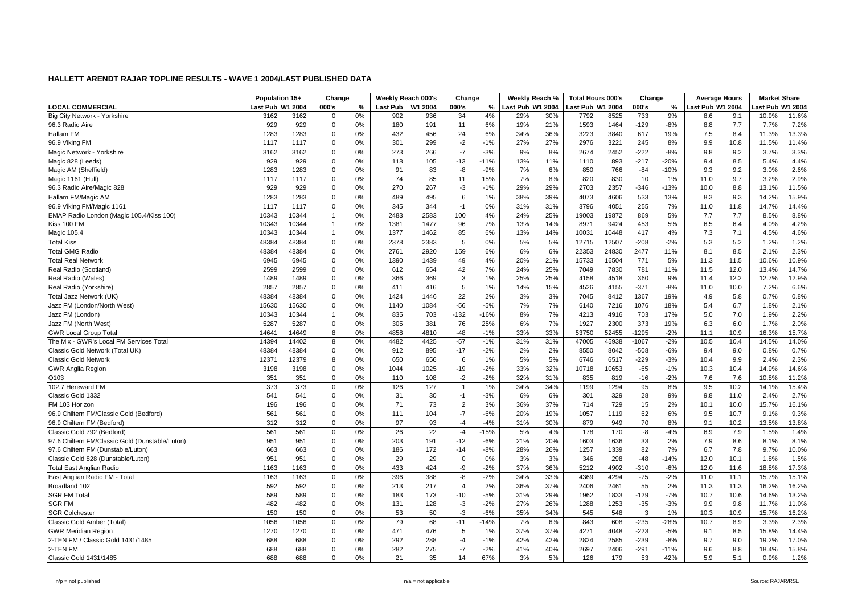|                                                 | Population 15+   |       | Change         |    | Weekly Reach 000's |         | Change         |        | Weekly Reach %   |     | <b>Total Hours 000's</b> |       | Change  |        | <b>Average Hours</b> |      | <b>Market Share</b> |       |
|-------------------------------------------------|------------------|-------|----------------|----|--------------------|---------|----------------|--------|------------------|-----|--------------------------|-------|---------|--------|----------------------|------|---------------------|-------|
| <b>LOCAL COMMERCIAL</b>                         | Last Pub W1 2004 |       | 000's          | %  | <b>Last Pub</b>    | W1 2004 | 000's          | %      | Last Pub W1 2004 |     | ast Pub W1 2004          |       | 000's   | %      | ast Pub W1 2004      |      | ast Pub W1 2004     |       |
| Big City Network - Yorkshire                    | 3162             | 3162  | $\overline{0}$ | 0% | 902                | 936     | 34             | 4%     | 29%              | 30% | 7792                     | 8525  | 733     | 9%     | 8.6                  | 9.1  | 10.9%               | 11.6% |
| 96.3 Radio Aire                                 | 929              | 929   | $\mathbf 0$    | 0% | 180                | 191     | 11             | 6%     | 19%              | 21% | 1593                     | 1464  | $-129$  | $-8%$  | 8.8                  | 7.7  | 7.7%                | 7.2%  |
| Hallam FM                                       | 1283             | 1283  | $\overline{0}$ | 0% | 432                | 456     | 24             | 6%     | 34%              | 36% | 3223                     | 3840  | 617     | 19%    | 7.5                  | 8.4  | 11.3%               | 13.3% |
| 96.9 Viking FM                                  | 1117             | 1117  | $\mathbf 0$    | 0% | 301                | 299     | $-2$           | $-1%$  | 27%              | 27% | 2976                     | 3221  | 245     | 8%     | 9.9                  | 10.8 | 11.5%               | 11.4% |
| Magic Network - Yorkshire                       | 3162             | 3162  | $\mathbf 0$    | 0% | 273                | 266     | $-7$           | $-3%$  | 9%               | 8%  | 2674                     | 2452  | $-222$  | $-8%$  | 9.8                  | 9.2  | 3.7%                | 3.3%  |
| Magic 828 (Leeds)                               | 929              | 929   | $\mathbf 0$    | 0% | 118                | 105     | $-13$          | $-11%$ | 13%              | 11% | 1110                     | 893   | $-217$  | $-20%$ | 9.4                  | 8.5  | 5.4%                | 4.4%  |
| Magic AM (Sheffield)                            | 1283             | 1283  | $\mathbf 0$    | 0% | 91                 | 83      | -8             | $-9%$  | 7%               | 6%  | 850                      | 766   | $-84$   | $-10%$ | 9.3                  | 9.2  | 3.0%                | 2.6%  |
| Magic 1161 (Hull)                               | 1117             | 1117  | $\mathbf 0$    | 0% | 74                 | 85      | 11             | 15%    | 7%               | 8%  | 820                      | 830   | 10      | 1%     | 11.0                 | 9.7  | 3.2%                | 2.9%  |
| 96.3 Radio Aire/Magic 828                       | 929              | 929   | $\mathbf 0$    | 0% | 270                | 267     | -3             | $-1%$  | 29%              | 29% | 2703                     | 2357  | $-346$  | $-13%$ | 10.0                 | 8.8  | 13.1%               | 11.5% |
| Hallam FM/Magic AM                              | 1283             | 1283  | $\mathbf 0$    | 0% | 489                | 495     | 6              | 1%     | 38%              | 39% | 4073                     | 4606  | 533     | 13%    | 8.3                  | 9.3  | 14.2%               | 15.9% |
| 96.9 Viking FM/Magic 1161                       | 1117             | 1117  | $\mathbf 0$    | 0% | 345                | 344     | $-1$           | 0%     | 31%              | 31% | 3796                     | 4051  | 255     | 7%     | 11.0                 | 11.8 | 14.7%               | 14.4% |
| EMAP Radio London (Magic 105.4/Kiss 100)        | 10343            | 10344 | $\overline{1}$ | 0% | 2483               | 2583    | 100            | 4%     | 24%              | 25% | 19003                    | 19872 | 869     | 5%     | 7.7                  | 7.7  | 8.5%                | 8.8%  |
| Kiss 100 FM                                     | 10343            | 10344 | $\overline{1}$ | 0% | 1381               | 1477    | 96             | 7%     | 13%              | 14% | 8971                     | 9424  | 453     | 5%     | 6.5                  | 6.4  | 4.0%                | 4.2%  |
| Magic 105.4                                     | 10343            | 10344 | $\overline{1}$ | 0% | 1377               | 1462    | 85             | 6%     | 13%              | 14% | 10031                    | 10448 | 417     | 4%     | 7.3                  | 7.1  | 4.5%                | 4.6%  |
| <b>Total Kiss</b>                               | 48384            | 48384 | $\mathbf 0$    | 0% | 2378               | 2383    | 5              | 0%     | 5%               | 5%  | 12715                    | 12507 | $-208$  | $-2%$  | 5.3                  | 5.2  | 1.2%                | 1.2%  |
| <b>Total GMG Radio</b>                          | 48384            | 48384 | $\mathbf 0$    | 0% | 2761               | 2920    | 159            | 6%     | 6%               | 6%  | 22353                    | 24830 | 2477    | 11%    | 8.1                  | 8.5  | 2.1%                | 2.3%  |
| <b>Total Real Network</b>                       | 6945             | 6945  | $\mathbf 0$    | 0% | 1390               | 1439    | 49             | 4%     | 20%              | 21% | 15733                    | 16504 | 771     | 5%     | 11.3                 | 11.5 | 10.6%               | 10.9% |
| Real Radio (Scotland)                           | 2599             | 2599  | $\mathbf 0$    | 0% | 612                | 654     | 42             | 7%     | 24%              | 25% | 7049                     | 7830  | 781     | 11%    | 11.5                 | 12.0 | 13.4%               | 14.7% |
| Real Radio (Wales)                              | 1489             | 1489  | $\mathbf 0$    | 0% | 366                | 369     | 3              | 1%     | 25%              | 25% | 4158                     | 4518  | 360     | 9%     | 11.4                 | 12.2 | 12.7%               | 12.9% |
| Real Radio (Yorkshire)                          | 2857             | 2857  | $\mathbf 0$    | 0% | 411                | 416     | 5              | 1%     | 14%              | 15% | 4526                     | 4155  | $-371$  | $-8%$  | 11.0                 | 10.0 | 7.2%                | 6.6%  |
| Total Jazz Network (UK)                         | 48384            | 48384 | $\mathbf 0$    | 0% | 1424               | 1446    | 22             | 2%     | 3%               | 3%  | 7045                     | 8412  | 1367    | 19%    | 4.9                  | 5.8  | 0.7%                | 0.8%  |
| Jazz FM (London/North West)                     | 15630            | 15630 | $\mathbf 0$    | 0% | 1140               | 1084    | $-56$          | $-5%$  | 7%               | 7%  | 6140                     | 7216  | 1076    | 18%    | 5.4                  | 6.7  | 1.8%                | 2.1%  |
| Jazz FM (London)                                | 10343            | 10344 | $\overline{1}$ | 0% | 835                | 703     | $-132$         | $-16%$ | 8%               | 7%  | 4213                     | 4916  | 703     | 17%    | 5.0                  | 7.0  | 1.9%                | 2.2%  |
| Jazz FM (North West)                            | 5287             | 5287  | $\mathbf 0$    | 0% | 305                | 381     | 76             | 25%    | 6%               | 7%  | 1927                     | 2300  | 373     | 19%    | 6.3                  | 6.0  | 1.7%                | 2.0%  |
| <b>GWR Local Group Tota</b>                     | 14641            | 14649 | 8              | 0% | 4858               | 4810    | $-48$          | $-1%$  | 33%              | 33% | 53750                    | 52455 | -1295   | $-2%$  | 11.1                 | 10.9 | 16.3%               | 15.7% |
| The Mix - GWR's Local FM Services Total         | 14394            | 14402 | 8              | 0% | 4482               | 4425    | $-57$          | $-1%$  | 31%              | 31% | 47005                    | 45938 | $-1067$ | $-2%$  | 10.5                 | 10.4 | 14.5%               | 14.0% |
| Classic Gold Network (Total UK)                 | 48384            | 48384 | $\mathbf 0$    | 0% | 912                | 895     | $-17$          | $-2%$  | 2%               | 2%  | 8550                     | 8042  | $-508$  | $-6%$  | 9.4                  | 9.0  | 0.8%                | 0.7%  |
| <b>Classic Gold Network</b>                     | 12371            | 12379 | 8              | 0% | 650                | 656     | 6              | 1%     | 5%               | 5%  | 6746                     | 6517  | $-229$  | $-3%$  | 10.4                 | 9.9  | 2.4%                | 2.3%  |
| <b>GWR Anglia Region</b>                        | 3198             | 3198  | $\mathbf 0$    | 0% | 1044               | 1025    | $-19$          | $-2%$  | 33%              | 32% | 10718                    | 10653 | $-65$   | $-1%$  | 10.3                 | 10.4 | 14.9%               | 14.6% |
| Q103                                            | 351              | 351   | $\mathbf 0$    | 0% | 110                | 108     | $-2$           | $-2%$  | 32%              | 31% | 835                      | 819   | $-16$   | $-2%$  | 7.6                  | 7.6  | 10.8%               | 11.2% |
| 102.7 Hereward FM                               | 373              | 373   | $\mathbf 0$    | 0% | 126                | 127     | $\overline{1}$ | 1%     | 34%              | 34% | 1199                     | 1294  | 95      | 8%     | 9.5                  | 10.2 | 14.1%               | 15.4% |
| Classic Gold 1332                               | 541              | 541   | $\mathbf 0$    | 0% | 31                 | 30      | $-1$           | $-3%$  | 6%               | 6%  | 301                      | 329   | 28      | 9%     | 9.8                  | 11.0 | 2.4%                | 2.7%  |
| FM 103 Horizon                                  | 196              | 196   | $\mathbf 0$    | 0% | 71                 | 73      | $\overline{2}$ | 3%     | 36%              | 37% | 714                      | 729   | 15      | 2%     | 10.1                 | 10.0 | 15.7%               | 16.1% |
| 96.9 Chiltern FM/Classic Gold (Bedford)         | 561              | 561   | $\mathbf 0$    | 0% | 111                | 104     | $-7$           | $-6%$  | 20%              | 19% | 1057                     | 1119  | 62      | 6%     | 9.5                  | 10.7 | 9.1%                | 9.3%  |
| 96.9 Chiltern FM (Bedford)                      | 312              | 312   | $\mathbf 0$    | 0% | 97                 | 93      | $-4$           | $-4%$  | 31%              | 30% | 879                      | 949   | 70      | 8%     | 9.1                  | 10.2 | 13.5%               | 13.8% |
| Classic Gold 792 (Bedford)                      | 561              | 561   | $\mathbf 0$    | 0% | 26                 | 22      | $-4$           | $-15%$ | 5%               | 4%  | 178                      | 170   | -8      | $-4%$  | 6.9                  | 7.9  | 1.5%                | 1.4%  |
| 97.6 Chiltern FM/Classic Gold (Dunstable/Luton) | 951              | 951   | $\mathbf 0$    | 0% | 203                | 191     | $-12$          | $-6%$  | 21%              | 20% | 1603                     | 1636  | 33      | 2%     | 7.9                  | 8.6  | 8.1%                | 8.1%  |
| 97.6 Chiltern FM (Dunstable/Luton)              | 663              | 663   | $\mathbf 0$    | 0% | 186                | 172     | $-14$          | $-8%$  | 28%              | 26% | 1257                     | 1339  | 82      | 7%     | 6.7                  | 7.8  | 9.7%                | 10.0% |
| Classic Gold 828 (Dunstable/Luton)              | 951              | 951   | $\mathbf 0$    | 0% | 29                 | 29      | $\Omega$       | 0%     | 3%               | 3%  | 346                      | 298   | $-48$   | $-14%$ | 12.0                 | 10.1 | 1.8%                | 1.5%  |
| <b>Total East Anglian Radio</b>                 | 1163             | 1163  | $\mathbf 0$    | 0% | 433                | 424     | -9             | $-2%$  | 37%              | 36% | 5212                     | 4902  | $-310$  | $-6%$  | 12.0                 | 11.6 | 18.8%               | 17.3% |
| East Anglian Radio FM - Total                   | 1163             | 1163  | $\mathbf 0$    | 0% | 396                | 388     | -8             | $-2%$  | 34%              | 33% | 4369                     | 4294  | $-75$   | $-2%$  | 11.0                 | 11.1 | 15.7%               | 15.1% |
| Broadland 102                                   | 592              | 592   | $\mathbf 0$    | 0% | 213                | 217     | $\overline{4}$ | 2%     | 36%              | 37% | 2406                     | 2461  | 55      | 2%     | 11.3                 | 11.3 | 16.2%               | 16.2% |
| <b>SGR FM Total</b>                             | 589              | 589   | $\mathbf 0$    | 0% | 183                | 173     | $-10$          | $-5%$  | 31%              | 29% | 1962                     | 1833  | $-129$  | $-7%$  | 10.7                 | 10.6 | 14.6%               | 13.2% |
| <b>SGR FM</b>                                   | 482              | 482   | $\mathbf 0$    | 0% | 131                | 128     | -3             | $-2%$  | 27%              | 26% | 1288                     | 1253  | $-35$   | $-3%$  | 9.9                  | 9.8  | 11.7%               | 11.0% |
| <b>SGR Colchester</b>                           | 150              | 150   | $\mathbf 0$    | 0% | 53                 | 50      | -3             | $-6%$  | 35%              | 34% | 545                      | 548   | 3       | 1%     | 10.3                 | 10.9 | 15.7%               | 16.2% |
| Classic Gold Amber (Total)                      | 1056             | 1056  | $\mathbf 0$    | 0% | 79                 | 68      | $-11$          | $-14%$ | 7%               | 6%  | 843                      | 608   | $-235$  | $-28%$ | 10.7                 | 8.9  | 3.3%                | 2.3%  |
| <b>GWR Meridian Region</b>                      | 1270             | 1270  | $\mathbf 0$    | 0% | 471                | 476     | 5              | 1%     | 37%              | 37% | 4271                     | 4048  | $-223$  | $-5%$  | 9.1                  | 8.5  | 15.8%               | 14.4% |
| 2-TEN FM / Classic Gold 1431/1485               | 688              | 688   | $\mathbf 0$    | 0% | 292                | 288     | -4             | $-1%$  | 42%              | 42% | 2824                     | 2585  | $-239$  | $-8%$  | 9.7                  | 9.0  | 19.2%               | 17.0% |
| 2-TEN FM                                        | 688              | 688   | $\overline{0}$ | 0% | 282                | 275     | $-7$           | $-2%$  | 41%              | 40% | 2697                     | 2406  | $-291$  | $-11%$ | 9.6                  | 8.8  | 18.4%               | 15.8% |
| Classic Gold 1431/1485                          | 688              | 688   | $\Omega$       | 0% | 21                 | 35      | 14             | 67%    | 3%               | 5%  | 126                      | 179   | 53      | 42%    | 5.9                  | 5.1  | 0.9%                | 1.2%  |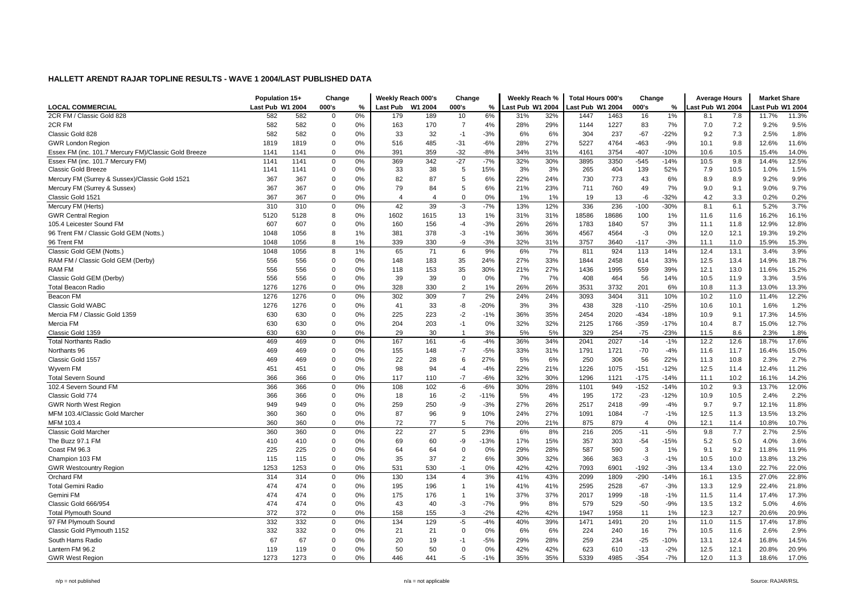|                                                      | Population 15+   |      | Change         |      | Weekly Reach 000's    |         | Change         |        | Weekly Reach %   |     | <b>Total Hours 000's</b> |       | Change         |        | <b>Average Hours</b> |      | <b>Market Share</b> |       |
|------------------------------------------------------|------------------|------|----------------|------|-----------------------|---------|----------------|--------|------------------|-----|--------------------------|-------|----------------|--------|----------------------|------|---------------------|-------|
| <b>LOCAL COMMERCIAL</b>                              | Last Pub W1 2004 |      | 000's          | $\%$ | <b>Last Pub</b>       | W1 2004 | 000's          | $\%$   | Last Pub W1 2004 |     | ast Pub W1 2004          |       | 000's          | $\%$   | ast Pub W1 2004      |      | ast Pub W1 2004     |       |
| 2CR FM / Classic Gold 828                            | 582              | 582  | $\mathbf 0$    | 0%   | 179                   | 189     | 10             | 6%     | 31%              | 32% | 1447                     | 1463  | 16             | 1%     | 8.1                  | 7.8  | 11.7%               | 11.3% |
| 2CR FM                                               | 582              | 582  | $\mathbf 0$    | 0%   | 163                   | 170     | $\overline{7}$ | 4%     | 28%              | 29% | 1144                     | 1227  | 83             | 7%     | 7.0                  | 7.2  | 9.2%                | 9.5%  |
| Classic Gold 828                                     | 582              | 582  | $\mathbf 0$    | 0%   | 33                    | 32      | $-1$           | $-3%$  | 6%               | 6%  | 304                      | 237   | $-67$          | $-22%$ | 9.2                  | 7.3  | 2.5%                | 1.8%  |
| <b>GWR London Region</b>                             | 1819             | 1819 | $\mathbf 0$    | 0%   | 516                   | 485     | $-31$          | $-6%$  | 28%              | 27% | 5227                     | 4764  | $-463$         | $-9%$  | 10.1                 | 9.8  | 12.6%               | 11.6% |
| Essex FM (inc. 101.7 Mercury FM)/Classic Gold Breeze | 1141             | 1141 | $\mathbf 0$    | 0%   | 391                   | 359     | $-32$          | $-8%$  | 34%              | 31% | 4161                     | 3754  | $-407$         | $-10%$ | 10.6                 | 10.5 | 15.4%               | 14.0% |
| Essex FM (inc. 101.7 Mercury FM)                     | 1141             | 1141 | $\mathbf 0$    | 0%   | 369                   | 342     | $-27$          | $-7%$  | 32%              | 30% | 3895                     | 3350  | $-545$         | $-14%$ | 10.5                 | 9.8  | 14.4%               | 12.5% |
| <b>Classic Gold Breeze</b>                           | 1141             | 1141 | $\mathbf 0$    | 0%   | 33                    | 38      | 5              | 15%    | 3%               | 3%  | 265                      | 404   | 139            | 52%    | 7.9                  | 10.5 | 1.0%                | 1.5%  |
| Mercury FM (Surrey & Sussex)/Classic Gold 1521       | 367              | 367  | $\overline{0}$ | 0%   | 82                    | 87      | 5              | 6%     | 22%              | 24% | 730                      | 773   | 43             | 6%     | 8.9                  | 8.9  | 9.2%                | 9.9%  |
| Mercury FM (Surrey & Sussex)                         | 367              | 367  | 0              | 0%   | 79                    | 84      | -5             | 6%     | 21%              | 23% | 711                      | 760   | 49             | 7%     | 9.0                  | 9.1  | 9.0%                | 9.7%  |
| Classic Gold 1521                                    | 367              | 367  | $\mathbf 0$    | 0%   | $\boldsymbol{\Delta}$ | 4       | $\mathbf 0$    | 0%     | 1%               | 1%  | 19                       | 13    | $-6$           | $-32%$ | 4.2                  | 3.3  | 0.2%                | 0.2%  |
| Mercury FM (Herts)                                   | 310              | 310  | $\pmb{0}$      | 0%   | 42                    | 39      | $-3$           | $-7%$  | 13%              | 12% | 336                      | 236   | $-100$         | $-30%$ | 8.1                  | 6.1  | 5.2%                | 3.7%  |
| <b>GWR Central Region</b>                            | 5120             | 5128 | 8              | 0%   | 1602                  | 1615    | 13             | 1%     | 31%              | 31% | 18586                    | 18686 | 100            | 1%     | 11.6                 | 11.6 | 16.2%               | 16.1% |
| 105.4 Leicester Sound FM                             | 607              | 607  | 0              | 0%   | 160                   | 156     | $-4$           | $-3%$  | 26%              | 26% | 1783                     | 1840  | 57             | 3%     | 11.1                 | 11.8 | 12.9%               | 12.8% |
| 96 Trent FM / Classic Gold GEM (Notts.)              | 1048             | 1056 | 8              | 1%   | 381                   | 378     | $-3$           | $-1%$  | 36%              | 36% | 4567                     | 4564  | $-3$           | 0%     | 12.0                 | 12.1 | 19.3%               | 19.2% |
| 96 Trent FM                                          | 1048             | 1056 | 8              | 1%   | 339                   | 330     | -9             | $-3%$  | 32%              | 31% | 3757                     | 3640  | $-117$         | $-3%$  | 11.1                 | 11.0 | 15.9%               | 15.3% |
| Classic Gold GEM (Notts.)                            | 1048             | 1056 | 8              | 1%   | 65                    | 71      | 6              | 9%     | 6%               | 7%  | 811                      | 924   | 113            | 14%    | 12.4                 | 13.1 | 3.4%                | 3.9%  |
| RAM FM / Classic Gold GEM (Derby)                    | 556              | 556  | 0              | 0%   | 148                   | 183     | 35             | 24%    | 27%              | 33% | 1844                     | 2458  | 614            | 33%    | 12.5                 | 13.4 | 14.9%               | 18.7% |
| <b>RAM FM</b>                                        | 556              | 556  | $\mathbf 0$    | 0%   | 118                   | 153     | 35             | 30%    | 21%              | 27% | 1436                     | 1995  | 559            | 39%    | 12.1                 | 13.0 | 11.6%               | 15.2% |
| Classic Gold GEM (Derby)                             | 556              | 556  | $\mathbf 0$    | 0%   | 39                    | 39      | $\mathbf 0$    | 0%     | 7%               | 7%  | 408                      | 464   | 56             | 14%    | 10.5                 | 11.9 | 3.3%                | 3.5%  |
| <b>Total Beacon Radio</b>                            | 1276             | 1276 | 0              | 0%   | 328                   | 330     | $\overline{2}$ | 1%     | 26%              | 26% | 3531                     | 3732  | 201            | 6%     | 10.8                 | 11.3 | 13.0%               | 13.3% |
| Beacon FM                                            | 1276             | 1276 | $\mathsf 0$    | 0%   | 302                   | 309     | $\overline{7}$ | 2%     | 24%              | 24% | 3093                     | 3404  | 311            | 10%    | 10.2                 | 11.0 | 11.4%               | 12.2% |
| Classic Gold WABC                                    | 1276             | 1276 | $\mathbf 0$    | 0%   | 41                    | 33      | -8             | $-20%$ | 3%               | 3%  | 438                      | 328   | $-110$         | $-25%$ | 10.6                 | 10.1 | 1.6%                | 1.2%  |
| Mercia FM / Classic Gold 1359                        | 630              | 630  | $\mathbf 0$    | 0%   | 225                   | 223     | $-2$           | $-1%$  | 36%              | 35% | 2454                     | 2020  | $-434$         | $-18%$ | 10.9                 | 9.1  | 17.3%               | 14.5% |
| Mercia FM                                            | 630              | 630  | $\mathbf 0$    | 0%   | 204                   | 203     | $-1$           | 0%     | 32%              | 32% | 2125                     | 1766  | $-359$         | $-17%$ | 10.4                 | 8.7  | 15.0%               | 12.7% |
| Classic Gold 1359                                    | 630              | 630  | $\mathbf 0$    | 0%   | 29                    | 30      | $\overline{1}$ | 3%     | 5%               | 5%  | 329                      | 254   | $-75$          | $-23%$ | 11.5                 | 8.6  | 2.3%                | 1.8%  |
| <b>Total Northants Radio</b>                         | 469              | 469  | $\mathbf 0$    | 0%   | 167                   | 161     | $-6$           | $-4%$  | 36%              | 34% | 2041                     | 2027  | $-14$          | $-1%$  | 12.2                 | 12.6 | 18.7%               | 17.6% |
| Northants 96                                         | 469              | 469  | $\mathbf 0$    | 0%   | 155                   | 148     | $-7$           | $-5%$  | 33%              | 31% | 1791                     | 1721  | $-70$          | $-4%$  | 11.6                 | 11.7 | 16.4%               | 15.0% |
| Classic Gold 1557                                    | 469              | 469  | $\mathbf 0$    | 0%   | 22                    | 28      | 6              | 27%    | 5%               | 6%  | 250                      | 306   | 56             | 22%    | 11.3                 | 10.8 | 2.3%                | 2.7%  |
| Wyvern FM                                            | 451              | 451  | $\mathbf 0$    | 0%   | 98                    | 94      | $-4$           | $-4%$  | 22%              | 21% | 1226                     | 1075  | $-151$         | $-12%$ | 12.5                 | 11.4 | 12.4%               | 11.2% |
| <b>Total Severn Sound</b>                            | 366              | 366  | $\mathbf 0$    | 0%   | 117                   | 110     | $-7$           | $-6%$  | 32%              | 30% | 1296                     | 1121  | $-175$         | $-14%$ | 11.1                 | 10.2 | 16.1%               | 14.2% |
| 102.4 Severn Sound FM                                | 366              | 366  | $\mathsf 0$    | 0%   | 108                   | 102     | -6             | $-6%$  | 30%              | 28% | 1101                     | 949   | $-152$         | $-14%$ | 10.2                 | 9.3  | 13.7%               | 12.0% |
| Classic Gold 774                                     | 366              | 366  | $\mathbf 0$    | 0%   | 18                    | 16      | $-2$           | $-11%$ | 5%               | 4%  | 195                      | 172   | $-23$          | $-12%$ | 10.9                 | 10.5 | 2.4%                | 2.2%  |
| <b>GWR North West Region</b>                         | 949              | 949  | $\mathbf 0$    | 0%   | 259                   | 250     | -9             | $-3%$  | 27%              | 26% | 2517                     | 2418  | -99            | $-4%$  | 9.7                  | 9.7  | 12.1%               | 11.8% |
| MFM 103.4/Classic Gold Marcher                       | 360              | 360  | $\mathbf 0$    | 0%   | 87                    | 96      | 9              | 10%    | 24%              | 27% | 1091                     | 1084  | $-7$           | $-1%$  | 12.5                 | 11.3 | 13.5%               | 13.2% |
| MFM 103.4                                            | 360              | 360  | $\mathbf 0$    | 0%   | 72                    | 77      | 5              | 7%     | 20%              | 21% | 875                      | 879   | $\overline{4}$ | 0%     | 12.1                 | 11.4 | 10.8%               | 10.7% |
| <b>Classic Gold Marcher</b>                          | 360              | 360  | $\mathbf 0$    | 0%   | 22                    | 27      | 5              | 23%    | 6%               | 8%  | 216                      | 205   | $-11$          | $-5%$  | 9.8                  | 7.7  | 2.7%                | 2.5%  |
| The Buzz 97.1 FM                                     | 410              | 410  | 0              | 0%   | 69                    | 60      | -9             | $-13%$ | 17%              | 15% | 357                      | 303   | $-54$          | $-15%$ | 5.2                  | 5.0  | 4.0%                | 3.6%  |
| Coast FM 96.3                                        | 225              | 225  | $\mathbf 0$    | 0%   | 64                    | 64      | $\mathbf 0$    | 0%     | 29%              | 28% | 587                      | 590   | 3              | 1%     | 9.1                  | 9.2  | 11.8%               | 11.9% |
| Champion 103 FM                                      | 115              | 115  | $\mathbf 0$    | 0%   | 35                    | 37      | $\overline{2}$ | 6%     | 30%              | 32% | 366                      | 363   | $-3$           | $-1%$  | 10.5                 | 10.0 | 13.8%               | 13.2% |
| <b>GWR Westcountry Region</b>                        | 1253             | 1253 | $\mathbf 0$    | 0%   | 531                   | 530     | $-1$           | 0%     | 42%              | 42% | 7093                     | 6901  | $-192$         | $-3%$  | 13.4                 | 13.0 | 22.7%               | 22.0% |
| Orchard FM                                           | 314              | 314  | 0              | 0%   | 130                   | 134     | $\overline{4}$ | 3%     | 41%              | 43% | 2099                     | 1809  | $-290$         | $-14%$ | 16.1                 | 13.5 | 27.0%               | 22.8% |
| <b>Total Gemini Radio</b>                            | 474              | 474  | $\mathbf 0$    | 0%   | 195                   | 196     | $\overline{1}$ | 1%     | 41%              | 41% | 2595                     | 2528  | $-67$          | $-3%$  | 13.3                 | 12.9 | 22.4%               | 21.8% |
| Gemini FM                                            | 474              | 474  | $\mathbf 0$    | 0%   | 175                   | 176     | -1             | 1%     | 37%              | 37% | 2017                     | 1999  | $-18$          | $-1%$  | 11.5                 | 11.4 | 17.4%               | 17.3% |
| Classic Gold 666/954                                 | 474              | 474  | 0              | 0%   | 43                    | 40      | -3             | $-7%$  | 9%               | 8%  | 579                      | 529   | -50            | $-9%$  | 13.5                 | 13.2 | 5.0%                | 4.6%  |
| <b>Total Plymouth Sound</b>                          | 372              | 372  | $\mathbf 0$    | 0%   | 158                   | 155     | -3             | $-2%$  | 42%              | 42% | 1947                     | 1958  | 11             | 1%     | 12.3                 | 12.7 | 20.6%               | 20.9% |
| 97 FM Plymouth Sound                                 | 332              | 332  | $\mathbf 0$    | 0%   | 134                   | 129     | $-5$           | $-4%$  | 40%              | 39% | 1471                     | 1491  | 20             | 1%     | 11.0                 | 11.5 | 17.4%               | 17.8% |
| Classic Gold Plymouth 1152                           | 332              | 332  | 0              | 0%   | 21                    | 21      | $\Omega$       | 0%     | 6%               | 6%  | 224                      | 240   | 16             | 7%     | 10.5                 | 11.6 | 2.6%                | 2.9%  |
| South Hams Radio                                     | 67               | 67   | $\mathbf 0$    | 0%   | 20                    | 19      | $-1$           | $-5%$  | 29%              | 28% | 259                      | 234   | $-25$          | $-10%$ | 13.1                 | 12.4 | 16.8%               | 14.5% |
| Lantern FM 96.2                                      | 119              | 119  | $\mathbf 0$    | 0%   | 50                    | 50      | $\mathbf 0$    | 0%     | 42%              | 42% | 623                      | 610   | $-13$          | $-2%$  | 12.5                 | 12.1 | 20.8%               | 20.9% |
| <b>GWR West Region</b>                               | 1273             | 1273 | $\mathbf 0$    | 0%   | 446                   | 441     | $-5$           | $-1%$  | 35%              | 35% | 5339                     | 4985  | $-354$         | $-7%$  | 12.0                 | 11.3 | 18.6%               | 17.0% |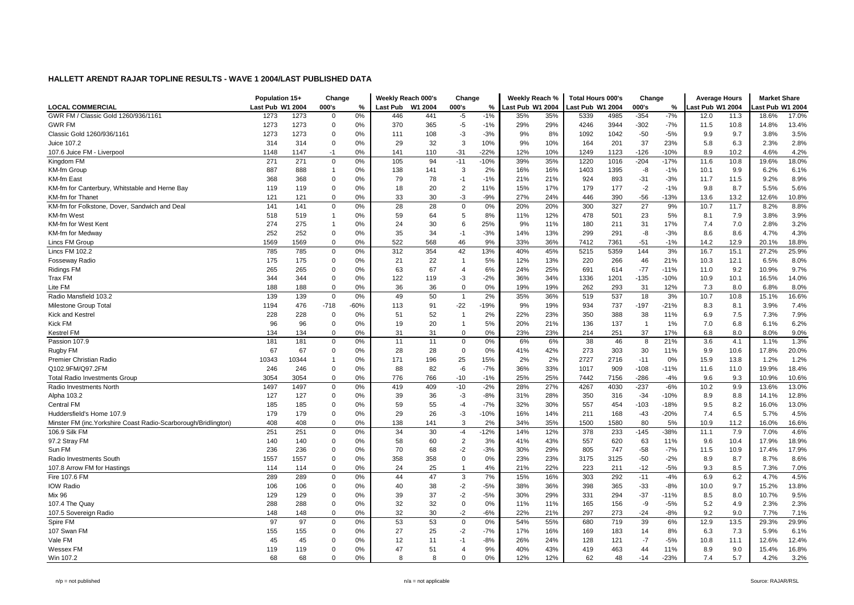|                                                                 | Population 15+   |       | Change         |        | Weekly Reach 000's |         | Change         |        | Weekly Reach %   |     | <b>Total Hours 000's</b> |      | Change         |        | <b>Average Hours</b> |      | <b>Market Share</b> |       |
|-----------------------------------------------------------------|------------------|-------|----------------|--------|--------------------|---------|----------------|--------|------------------|-----|--------------------------|------|----------------|--------|----------------------|------|---------------------|-------|
| <b>LOCAL COMMERCIAL</b>                                         | Last Pub W1 2004 |       | 000's          | $\%$   | <b>Last Pub</b>    | W1 2004 | 000's          | %      | Last Pub W1 2004 |     | Last Pub W1 2004         |      | 000's          | $\%$   | ast Pub W1 2004      |      | ast Pub W1 2004     |       |
| GWR FM / Classic Gold 1260/936/1161                             | 1273             | 1273  | $\Omega$       | 0%     | 446                | 441     | $-5$           | $-1%$  | 35%              | 35% | 5339                     | 4985 | $-354$         | $-7%$  | 12.0                 | 11.3 | 18.6%               | 17.0% |
| <b>GWR FM</b>                                                   | 1273             | 1273  | $\mathbf 0$    | 0%     | 370                | 365     | $-5$           | $-1%$  | 29%              | 29% | 4246                     | 3944 | $-302$         | $-7%$  | 11.5                 | 10.8 | 14.8%               | 13.4% |
| Classic Gold 1260/936/1161                                      | 1273             | 1273  | $\overline{0}$ | 0%     | 111                | 108     | $-3$           | $-3%$  | 9%               | 8%  | 1092                     | 1042 | $-50$          | $-5%$  | 9.9                  | 9.7  | 3.8%                | 3.5%  |
| Juice 107.2                                                     | 314              | 314   | $\Omega$       | 0%     | 29                 | 32      | 3              | 10%    | 9%               | 10% | 164                      | 201  | 37             | 23%    | 5.8                  | 6.3  | 2.3%                | 2.8%  |
| 107.6 Juice FM - Liverpool                                      | 1148             | 1147  | $-1$           | 0%     | 141                | 110     | $-31$          | $-22%$ | 12%              | 10% | 1249                     | 1123 | $-126$         | $-10%$ | 8.9                  | 10.2 | 4.6%                | 4.2%  |
| Kingdom FM                                                      | 271              | 271   | $\mathbf 0$    | 0%     | 105                | 94      | $-11$          | $-10%$ | 39%              | 35% | 1220                     | 1016 | $-204$         | $-17%$ | 11.6                 | 10.8 | 19.6%               | 18.0% |
| KM-fm Group                                                     | 887              | 888   | $\overline{1}$ | 0%     | 138                | 141     | 3              | 2%     | 16%              | 16% | 1403                     | 1395 | -8             | $-1%$  | 10.1                 | 9.9  | 6.2%                | 6.1%  |
| <b>KM-fm East</b>                                               | 368              | 368   | $\Omega$       | 0%     | 79                 | 78      | $-1$           | $-1%$  | 21%              | 21% | 924                      | 893  | $-31$          | $-3%$  | 11.7                 | 11.5 | 9.2%                | 8.9%  |
| KM-fm for Canterbury, Whitstable and Herne Bay                  | 119              | 119   | $\mathbf 0$    | 0%     | 18                 | 20      | $\overline{2}$ | 11%    | 15%              | 17% | 179                      | 177  | $-2$           | $-1%$  | 9.8                  | 8.7  | 5.5%                | 5.6%  |
| KM-fm for Thanet                                                | 121              | 121   | $\mathbf 0$    | 0%     | 33                 | 30      | $-3$           | $-9%$  | 27%              | 24% | 446                      | 390  | $-56$          | $-13%$ | 13.6                 | 13.2 | 12.6%               | 10.8% |
| KM-fm for Folkstone, Dover, Sandwich and Deal                   | 141              | 141   | $\mathbf 0$    | 0%     | 28                 | 28      | $\Omega$       | 0%     | 20%              | 20% | 300                      | 327  | 27             | 9%     | 10.7                 | 11.7 | 8.2%                | 8.8%  |
| KM-fm West                                                      | 518              | 519   | $\mathbf{1}$   | 0%     | 59                 | 64      | 5              | 8%     | 11%              | 12% | 478                      | 501  | 23             | 5%     | 8.1                  | 7.9  | 3.8%                | 3.9%  |
| KM-fm for West Kent                                             | 274              | 275   | $\overline{1}$ | 0%     | 24                 | 30      | 6              | 25%    | 9%               | 11% | 180                      | 211  | 31             | 17%    | 7.4                  | 7.0  | 2.8%                | 3.2%  |
| KM-fm for Medway                                                | 252              | 252   | $\mathbf 0$    | 0%     | 35                 | 34      | $-1$           | $-3%$  | 14%              | 13% | 299                      | 291  | -8             | $-3%$  | 8.6                  | 8.6  | 4.7%                | 4.3%  |
| Lincs FM Group                                                  | 1569             | 1569  | $\mathsf 0$    | 0%     | 522                | 568     | 46             | 9%     | 33%              | 36% | 7412                     | 7361 | $-51$          | $-1%$  | 14.2                 | 12.9 | 20.1%               | 18.8% |
| Lincs FM 102.2                                                  | 785              | 785   | $\mathbf 0$    | 0%     | 312                | 354     | 42             | 13%    | 40%              | 45% | 5215                     | 5359 | 144            | 3%     | 16.7                 | 15.1 | 27.2%               | 25.9% |
| <b>Fosseway Radio</b>                                           | 175              | 175   | $\mathbf 0$    | 0%     | 21                 | 22      | $\overline{1}$ | 5%     | 12%              | 13% | 220                      | 266  | 46             | 21%    | 10.3                 | 12.1 | 6.5%                | 8.0%  |
| <b>Ridings FM</b>                                               | 265              | 265   | $\mathsf 0$    | 0%     | 63                 | 67      | $\overline{4}$ | 6%     | 24%              | 25% | 691                      | 614  | $-77$          | $-11%$ | 11.0                 | 9.2  | 10.9%               | 9.7%  |
| Trax FM                                                         | 344              | 344   | $\overline{0}$ | 0%     | 122                | 119     | $-3$           | $-2%$  | 36%              | 34% | 1336                     | 1201 | $-135$         | $-10%$ | 10.9                 | 10.1 | 16.5%               | 14.0% |
| Lite FM                                                         | 188              | 188   | $\mathbf 0$    | 0%     | 36                 | 36      | $\Omega$       | 0%     | 19%              | 19% | 262                      | 293  | 31             | 12%    | 7.3                  | 8.0  | 6.8%                | 8.0%  |
| Radio Mansfield 103.2                                           | 139              | 139   | $\mathbf 0$    | 0%     | 49                 | 50      | $\overline{1}$ | 2%     | 35%              | 36% | 519                      | 537  | 18             | 3%     | 10.7                 | 10.8 | 15.1%               | 16.6% |
| Milestone Group Total                                           | 1194             | 476   | $-718$         | $-60%$ | 113                | 91      | $-22$          | $-19%$ | 9%               | 19% | 934                      | 737  | $-197$         | $-21%$ | 8.3                  | 8.1  | 3.9%                | 7.4%  |
| <b>Kick and Kestrel</b>                                         | 228              | 228   | $\Omega$       | 0%     | 51                 | 52      | $\overline{1}$ | 2%     | 22%              | 23% | 350                      | 388  | 38             | 11%    | 6.9                  | 7.5  | 7.3%                | 7.9%  |
| Kick FM                                                         | 96               | 96    | $\overline{0}$ | 0%     | 19                 | 20      |                | 5%     | 20%              | 21% | 136                      | 137  | $\overline{1}$ | 1%     | 7.0                  | 6.8  | 6.1%                | 6.2%  |
| Kestrel FM                                                      | 134              | 134   | $\mathbf 0$    | 0%     | 31                 | 31      | $\Omega$       | 0%     | 23%              | 23% | 214                      | 251  | 37             | 17%    | 6.8                  | 8.0  | 8.0%                | 9.0%  |
| Passion 107.9                                                   | 181              | 181   | 0              | 0%     | 11                 | 11      | $\Omega$       | 0%     | 6%               | 6%  | 38                       | 46   | 8              | 21%    | 3.6                  | 4.1  | 1.1%                | 1.3%  |
| Rugby FM                                                        | 67               | 67    | $\mathbf 0$    | 0%     | 28                 | 28      | $\Omega$       | 0%     | 41%              | 42% | 273                      | 303  | 30             | 11%    | 9.9                  | 10.6 | 17.8%               | 20.0% |
| Premier Christian Radio                                         | 10343            | 10344 | $\overline{1}$ | 0%     | 171                | 196     | 25             | 15%    | 2%               | 2%  | 2727                     | 2716 | $-11$          | 0%     | 15.9                 | 13.8 | 1.2%                | 1.2%  |
| Q102.9FM/Q97.2FM                                                | 246              | 246   | $\mathbf 0$    | 0%     | 88                 | 82      | $-6$           | $-7%$  | 36%              | 33% | 1017                     | 909  | $-108$         | $-11%$ | 11.6                 | 11.0 | 19.9%               | 18.4% |
| <b>Total Radio Investments Group</b>                            | 3054             | 3054  | 0              | 0%     | 776                | 766     | $-10$          | $-1%$  | 25%              | 25% | 7442                     | 7156 | $-286$         | $-4%$  | 9.6                  | 9.3  | 10.9%               | 10.6% |
| Radio Investments North                                         | 1497             | 1497  | $\mathbf 0$    | 0%     | 419                | 409     | $-10$          | $-2%$  | 28%              | 27% | 4267                     | 4030 | $-237$         | $-6%$  | 10.2                 | 9.9  | 13.6%               | 13.0% |
| Alpha 103.2                                                     | 127              | 127   | $\Omega$       | 0%     | 39                 | 36      | $-3$           | $-8%$  | 31%              | 28% | 350                      | 316  | $-34$          | $-10%$ | 8.9                  | 8.8  | 14.1%               | 12.8% |
| Central FM                                                      | 185              | 185   | $\overline{0}$ | 0%     | 59                 | 55      | $-4$           | $-7%$  | 32%              | 30% | 557                      | 454  | $-103$         | $-18%$ | 9.5                  | 8.2  | 16.0%               | 13.0% |
| Huddersfield's Home 107.9                                       | 179              | 179   | $\mathbf 0$    | 0%     | 29                 | 26      | $-3$           | $-10%$ | 16%              | 14% | 211                      | 168  | $-43$          | $-20%$ | 7.4                  | 6.5  | 5.7%                | 4.5%  |
| Minster FM (inc. Yorkshire Coast Radio-Scarborough/Bridlington) | 408              | 408   | $\mathbf 0$    | 0%     | 138                | 141     | 3              | 2%     | 34%              | 35% | 1500                     | 1580 | 80             | 5%     | 10.9                 | 11.2 | 16.0%               | 16.6% |
| 106.9 Silk FM                                                   | 251              | 251   | $\mathbf 0$    | 0%     | 34                 | 30      | $-4$           | $-12%$ | 14%              | 12% | 378                      | 233  | $-145$         | $-38%$ | 11.1                 | 7.9  | 7.0%                | 4.6%  |
| 97.2 Stray FM                                                   | 140              | 140   | $\mathbf 0$    | 0%     | 58                 | 60      | $\overline{2}$ | 3%     | 41%              | 43% | 557                      | 620  | 63             | 11%    | 9.6                  | 10.4 | 17.9%               | 18.9% |
| Sun FM                                                          | 236              | 236   | $\mathbf 0$    | 0%     | 70                 | 68      | $-2$           | $-3%$  | 30%              | 29% | 805                      | 747  | -58            | $-7%$  | 11.5                 | 10.9 | 17.4%               | 17.9% |
| Radio Investments South                                         | 1557             | 1557  | $\mathbf 0$    | 0%     | 358                | 358     | $\Omega$       | 0%     | 23%              | 23% | 3175                     | 3125 | -50            | $-2%$  | 8.9                  | 8.7  | 8.7%                | 8.6%  |
| 107.8 Arrow FM for Hastings                                     | 114              | 114   | $\mathsf 0$    | 0%     | 24                 | 25      | $\overline{1}$ | 4%     | 21%              | 22% | 223                      | 211  | $-12$          | $-5%$  | 9.3                  | 8.5  | 7.3%                | 7.0%  |
| Fire 107.6 FM                                                   | 289              | 289   | 0              | 0%     | 44                 | 47      | 3              | 7%     | 15%              | 16% | 303                      | 292  | $-11$          | $-4%$  | 6.9                  | 6.2  | 4.7%                | 4.5%  |
| <b>IOW Radio</b>                                                | 106              | 106   | 0              | 0%     | 40                 | 38      | $-2$           | $-5%$  | 38%              | 36% | 398                      | 365  | $-33$          | $-8%$  | 10.0                 | 9.7  | 15.2%               | 13.8% |
| <b>Mix 96</b>                                                   | 129              | 129   | $\mathbf 0$    | 0%     | 39                 | 37      | $-2$           | $-5%$  | 30%              | 29% | 331                      | 294  | $-37$          | $-11%$ | 8.5                  | 8.0  | 10.7%               | 9.5%  |
| 107.4 The Quay                                                  | 288              | 288   | $\mathbf 0$    | 0%     | 32                 | 32      | $\Omega$       | 0%     | 11%              | 11% | 165                      | 156  | -9             | $-5%$  | 5.2                  | 4.9  | 2.3%                | 2.3%  |
| 107.5 Sovereign Radio                                           | 148              | 148   | 0              | 0%     | 32                 | 30      | $-2$           | $-6%$  | 22%              | 21% | 297                      | 273  | $-24$          | $-8%$  | 9.2                  | 9.0  | 7.7%                | 7.1%  |
| Spire FM                                                        | 97               | 97    | $\mathsf 0$    | 0%     | 53                 | 53      | $\mathsf 0$    | 0%     | 54%              | 55% | 680                      | 719  | 39             | 6%     | 12.9                 | 13.5 | 29.3%               | 29.9% |
| 107 Swan FM                                                     | 155              | 155   | $\mathbf 0$    | 0%     | 27                 | 25      | $-2$           | $-7%$  | 17%              | 16% | 169                      | 183  | 14             | 8%     | 6.3                  | 7.3  | 5.9%                | 6.1%  |
| Vale FM                                                         | 45               | 45    | $\Omega$       | 0%     | 12                 | 11      | $-1$           | $-8%$  | 26%              | 24% | 128                      | 121  | $-7$           | $-5%$  | 10.8                 | 11.1 | 12.6%               | 12.4% |
| Wessex FM                                                       | 119              | 119   | $\overline{0}$ | 0%     | 47                 | 51      | $\overline{4}$ | 9%     | 40%              | 43% | 419                      | 463  | 44             | 11%    | 8.9                  | 9.0  | 15.4%               | 16.8% |
| Win 107.2                                                       | 68               | 68    | $\Omega$       | 0%     | 8                  | 8       | $\Omega$       | 0%     | 12%              | 12% | 62                       | 48   | $-14$          | $-23%$ | 7.4                  | 5.7  | 4.2%                | 3.2%  |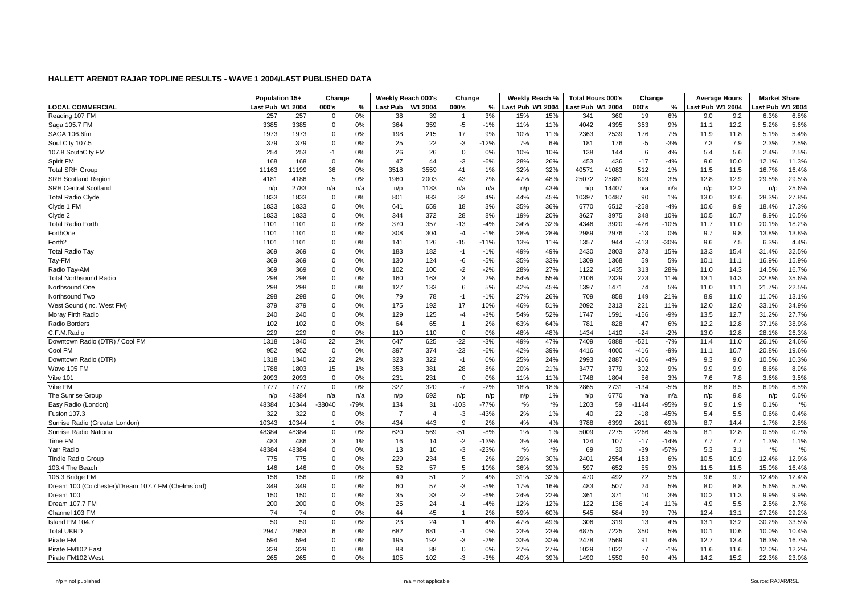|                                                    | Population 15+   |       | Change         |        | Weekly Reach 000's |         | Change         |        | Weekly Reach %                   |        | <b>Total Hours 000's</b> |       | Change          |        | <b>Average Hours</b> |      | <b>Market Share</b> |        |
|----------------------------------------------------|------------------|-------|----------------|--------|--------------------|---------|----------------|--------|----------------------------------|--------|--------------------------|-------|-----------------|--------|----------------------|------|---------------------|--------|
| <b>LOCAL COMMERCIAL</b>                            | Last Pub W1 2004 |       | 000's          | $\%$   | <b>Last Pub</b>    | W1 2004 | 000's          | $\%$   | Last Pub W1 2004                 |        | ast Pub W1 2004          |       | 000's           | %      | ast Pub W1 2004      |      | ast Pub W1 2004     |        |
| Reading 107 FM                                     | 257              | 257   | $\overline{0}$ | 0%     | 38                 | 39      | $\overline{1}$ | 3%     | 15%                              | 15%    | 341                      | 360   | 19              | 6%     | 9.0                  | 9.2  | 6.3%                | 6.8%   |
| Saga 105.7 FM                                      | 3385             | 3385  | $\mathbf 0$    | 0%     | 364                | 359     | $-5$           | $-1%$  | 11%                              | 11%    | 4042                     | 4395  | 353             | 9%     | 11.1                 | 12.2 | 5.2%                | 5.6%   |
| SAGA 106.6fm                                       | 1973             | 1973  | $\overline{0}$ | 0%     | 198                | 215     | 17             | 9%     | 10%                              | 11%    | 2363                     | 2539  | 176             | 7%     | 11.9                 | 11.8 | 5.1%                | 5.4%   |
| Soul City 107.5                                    | 379              | 379   | $\mathbf 0$    | 0%     | 25                 | 22      | -3             | $-12%$ | 7%                               | 6%     | 181                      | 176   | $-5$            | $-3%$  | 7.3                  | 7.9  | 2.3%                | 2.5%   |
| 107.8 SouthCity FM                                 | 254              | 253   | $-1$           | 0%     | 26                 | 26      | $\Omega$       | 0%     | 10%                              | 10%    | 138                      | 144   | 6               | 4%     | 5.4                  | 5.6  | 2.4%                | 2.5%   |
| Spirit FM                                          | 168              | 168   | $\mathbf 0$    | 0%     | 47                 | 44      | -3             | $-6%$  | 28%                              | 26%    | 453                      | 436   | $-17$           | $-4%$  | 9.6                  | 10.0 | 12.1%               | 11.3%  |
| <b>Total SRH Group</b>                             | 11163            | 11199 | 36             | 0%     | 3518               | 3559    | 41             | 1%     | 32%                              | 32%    | 40571                    | 41083 | 512             | 1%     | 11.5                 | 11.5 | 16.7%               | 16.4%  |
| <b>SRH Scotland Region</b>                         | 4181             | 4186  | 5              | 0%     | 1960               | 2003    | 43             | 2%     | 47%                              | 48%    | 25072                    | 25881 | 809             | 3%     | 12.8                 | 12.9 | 29.5%               | 29.5%  |
| <b>SRH Central Scotland</b>                        | n/p              | 2783  | n/a            | n/a    | n/p                | 1183    | n/a            | n/a    | n/p                              | 43%    | n/p                      | 14407 | n/a             | n/a    | n/p                  | 12.2 | n/p                 | 25.6%  |
| <b>Total Radio Clyde</b>                           | 1833             | 1833  | $\mathbf 0$    | 0%     | 801                | 833     | 32             | 4%     | 44%                              | 45%    | 10397                    | 10487 | 90              | 1%     | 13.0                 | 12.6 | 28.3%               | 27.8%  |
| Clyde 1 FM                                         | 1833             | 1833  | $\mathbf 0$    | 0%     | 641                | 659     | 18             | 3%     | 35%                              | 36%    | 6770                     | 6512  | $-258$          | $-4%$  | 10.6                 | 9.9  | 18.4%               | 17.3%  |
| Clyde 2                                            | 1833             | 1833  | $\mathbf 0$    | 0%     | 344                | 372     | 28             | 8%     | 19%                              | 20%    | 3627                     | 3975  | 348             | 10%    | 10.5                 | 10.7 | 9.9%                | 10.5%  |
| <b>Total Radio Forth</b>                           | 1101             | 1101  | $\mathbf 0$    | 0%     | 370                | 357     | $-13$          | $-4%$  | 34%                              | 32%    | 4346                     | 3920  | -426            | $-10%$ | 11.7                 | 11.0 | 20.1%               | 18.2%  |
| ForthOne                                           | 1101             | 1101  | $\mathbf 0$    | 0%     | 308                | 304     | $-4$           | $-1%$  | 28%                              | 28%    | 2989                     | 2976  | $-13$           | 0%     | 9.7                  | 9.8  | 13.8%               | 13.8%  |
| Forth <sub>2</sub>                                 | 1101             | 1101  | $\mathbf 0$    | 0%     | 141                | 126     | $-15$          | $-11%$ | 13%                              | 11%    | 1357                     | 944   | $-413$          | $-30%$ | 9.6                  | 7.5  | 6.3%                | 4.4%   |
| <b>Total Radio Tay</b>                             | 369              | 369   | $\mathbf 0$    | 0%     | 183                | 182     | $-1$           | $-1%$  | 49%                              | 49%    | 2430                     | 2803  | 373             | 15%    | 13.3                 | 15.4 | 31.4%               | 32.5%  |
| Tay-FM                                             | 369              | 369   | $\mathbf 0$    | 0%     | 130                | 124     | -6             | $-5%$  | 35%                              | 33%    | 1309                     | 1368  | 59              | 5%     | 10.1                 | 11.1 | 16.9%               | 15.9%  |
| Radio Tay-AM                                       | 369              | 369   | $\mathbf 0$    | 0%     | 102                | 100     | -2             | $-2%$  | 28%                              | 27%    | 1122                     | 1435  | 313             | 28%    | 11.0                 | 14.3 | 14.5%               | 16.7%  |
| <b>Total Northsound Radio</b>                      | 298              | 298   | $\mathbf 0$    | 0%     | 160                | 163     | 3              | 2%     | 54%                              | 55%    | 2106                     | 2329  | 223             | 11%    | 13.1                 | 14.3 | 32.8%               | 35.6%  |
| Northsound One                                     | 298              | 298   | $\mathbf 0$    | 0%     | 127                | 133     | 6              | 5%     | 42%                              | 45%    | 1397                     | 1471  | 74              | 5%     | 11.0                 | 11.1 | 21.7%               | 22.5%  |
| Northsound Two                                     | 298              | 298   | $\mathbf 0$    | 0%     | 79                 | 78      | $-1$           | $-1%$  | 27%                              | 26%    | 709                      | 858   | 149             | 21%    | 8.9                  | 11.0 | 11.0%               | 13.1%  |
| West Sound (inc. West FM)                          | 379              | 379   | $\mathbf 0$    | 0%     | 175                | 192     | 17             | 10%    | 46%                              | 51%    | 2092                     | 2313  | 221             | 11%    | 12.0                 | 12.0 | 33.1%               | 34.9%  |
| Moray Firth Radio                                  | 240              | 240   | $\mathbf 0$    | 0%     | 129                | 125     | -4             | $-3%$  | 54%                              | 52%    | 1747                     | 1591  | -156            | $-9%$  | 13.5                 | 12.7 | 31.2%               | 27.7%  |
| Radio Borders                                      | 102              | 102   | $\mathbf 0$    | 0%     | 64                 | 65      | $\overline{1}$ | 2%     | 63%                              | 64%    | 781                      | 828   | 47              | 6%     | 12.2                 | 12.8 | 37.1%               | 38.9%  |
| C.F.M.Radio                                        | 229              | 229   | $\mathbf 0$    | 0%     | 110                | 110     | $\Omega$       | 0%     | 48%                              | 48%    | 1434                     | 1410  | $-24$           | $-2%$  | 13.0                 | 12.8 | 28.1%               | 26.3%  |
| Downtown Radio (DTR) / Cool FM                     | 1318             | 1340  | 22             | 2%     | 647                | 625     | $-22$          | $-3%$  | 49%                              | 47%    | 7409                     | 6888  | $-521$          | $-7%$  | 11.4                 | 11.0 | 26.1%               | 24.6%  |
| Cool FM                                            | 952              | 952   | $\mathbf 0$    | 0%     | 397                | 374     | $-23$          | $-6%$  | 42%                              | 39%    | 4416                     | 4000  | -416            | $-9%$  | 11.1                 | 10.7 | 20.8%               | 19.6%  |
| Downtown Radio (DTR)                               | 1318             | 1340  | 22             | 2%     | 323                | 322     | $-1$           | 0%     | 25%                              | 24%    | 2993                     | 2887  | $-106$          | $-4%$  | 9.3                  | 9.0  | 10.5%               | 10.3%  |
| Wave 105 FM                                        | 1788             | 1803  | 15             | 1%     | 353                | 381     | 28             | 8%     | 20%                              | 21%    | 3477                     | 3779  | 302             | 9%     | 9.9                  | 9.9  | 8.6%                | 8.9%   |
| Vibe 101                                           | 2093             | 2093  | $\mathbf 0$    | 0%     | 231                | 231     | $\Omega$       | 0%     | 11%                              | 11%    | 1748                     | 1804  | 56              | 3%     | 7.6                  | 7.8  | 3.6%                | 3.5%   |
| Vibe FM                                            | 1777             | 1777  | $\mathbf 0$    | 0%     | 327                | 320     | $-7$           | $-2%$  | 18%                              | 18%    | 2865                     | 2731  | $-134$          | $-5%$  | 8.8                  | 8.5  | 6.9%                | 6.5%   |
| The Sunrise Group                                  | n/p              | 48384 | n/a            | n/a    | n/p                | 692     | n/p            | n/p    | n/p                              | 1%     | n/p                      | 6770  | n/a             | n/a    | n/p                  | 9.8  | n/p                 | 0.6%   |
| Easy Radio (London)                                | 48384            | 10344 | -38040         | $-79%$ | 134                | 31      | $-103$         | $-77%$ | $\boldsymbol{^{*0}}\!/\!\!\circ$ | $*$ %  | 1203                     | 59    | $-1144$         | $-95%$ | 9.0                  | 1.9  | 0.1%                | $*9/0$ |
| <b>Fusion 107.3</b>                                | 322              | 322   | $\overline{0}$ | 0%     | $\overline{7}$     | 4       | -3             | $-43%$ | 2%                               | 1%     | 40                       | 22    | $-18$           | $-45%$ | 5.4                  | 5.5  | 0.6%                | 0.4%   |
| Sunrise Radio (Greater London)                     | 10343            | 10344 | $\overline{1}$ | 0%     | 434                | 443     | 9              | 2%     | 4%                               | 4%     | 3788                     | 6399  | 2611            | 69%    | 8.7                  | 14.4 | 1.7%                | 2.8%   |
| Sunrise Radio National                             | 48384            | 48384 | $\mathbf 0$    | 0%     | 620                | 569     | $-51$          | $-8%$  | 1%                               | 1%     | 5009                     | 7275  | 2266            | 45%    | 8.1                  | 12.8 | 0.5%                | 0.7%   |
| Time FM                                            | 483              | 486   | 3              | 1%     | 16                 | 14      | $-2$           | $-13%$ | 3%                               | 3%     | 124                      | 107   | $-17$           | $-14%$ | 7.7                  | 7.7  | 1.3%                | 1.1%   |
| Yarr Radio                                         | 48384            | 48384 | $\mathbf 0$    | 0%     | 13                 | 10      | -3             | $-23%$ | $\boldsymbol{*}$ %               | $*o/2$ | 69                       | 30    | $-39$           | $-57%$ | 5.3                  | 3.1  | $*9/6$              | $*9/6$ |
| <b>Tindle Radio Group</b>                          | 775              | 775   | $\mathbf 0$    | 0%     | 229                | 234     | 5              | 2%     | 29%                              | 30%    | 2401                     | 2554  | 153             | 6%     | 10.5                 | 10.9 | 12.4%               | 12.9%  |
| 103.4 The Beach                                    | 146              | 146   | $\mathbf 0$    | 0%     | 52                 | 57      | 5              | 10%    | 36%                              | 39%    | 597                      | 652   | 55              | 9%     | 11.5                 | 11.5 | 15.0%               | 16.4%  |
| 106.3 Bridge FM                                    | 156              | 156   | $\mathbf 0$    | 0%     | 49                 | 51      | $\overline{2}$ | 4%     | 31%                              | 32%    | 470                      | 492   | $\overline{22}$ | 5%     | 9.6                  | 9.7  | 12.4%               | 12.4%  |
| Dream 100 (Colchester)/Dream 107.7 FM (Chelmsford) | 349              | 349   | $\mathbf 0$    | 0%     | 60                 | 57      | -3             | $-5%$  | 17%                              | 16%    | 483                      | 507   | 24              | 5%     | 8.0                  | 8.8  | 5.6%                | 5.7%   |
| Dream 100                                          | 150              | 150   | $\mathbf 0$    | 0%     | 35                 | 33      | $-2$           | $-6%$  | 24%                              | 22%    | 361                      | 371   | 10              | 3%     | 10.2                 | 11.3 | 9.9%                | 9.9%   |
| Dream 107.7 FM                                     | 200              | 200   | $\mathbf 0$    | 0%     | 25                 | 24      | $-1$           | $-4%$  | 12%                              | 12%    | 122                      | 136   | 14              | 11%    | 4.9                  | 5.5  | 2.5%                | 2.7%   |
| Channel 103 FM                                     | 74               | 74    | $\mathbf 0$    | 0%     | 44                 | 45      | $\overline{1}$ | 2%     | 59%                              | 60%    | 545                      | 584   | 39              | 7%     | 12.4                 | 13.1 | 27.2%               | 29.2%  |
| Island FM 104.7                                    | 50               | 50    | $\mathbf 0$    | 0%     | 23                 | 24      | $\overline{1}$ | 4%     | 47%                              | 49%    | 306                      | 319   | 13              | 4%     | 13.1                 | 13.2 | 30.2%               | 33.5%  |
| <b>Total UKRD</b>                                  | 2947             | 2953  | 6              | 0%     | 682                | 681     | $-1$           | 0%     | 23%                              | 23%    | 6875                     | 7225  | 350             | 5%     | 10.1                 | 10.6 | 10.0%               | 10.4%  |
| Pirate FM                                          | 594              | 594   | $\mathbf 0$    | 0%     | 195                | 192     | $-3$           | $-2%$  | 33%                              | 32%    | 2478                     | 2569  | 91              | 4%     | 12.7                 | 13.4 | 16.3%               | 16.7%  |
| Pirate FM102 East                                  | 329              | 329   | $\mathbf 0$    | 0%     | 88                 | 88      | $\mathbf 0$    | 0%     | 27%                              | 27%    | 1029                     | 1022  | $-7$            | $-1%$  | 11.6                 | 11.6 | 12.0%               | 12.2%  |
| Pirate FM102 West                                  | 265              | 265   | $\mathbf 0$    | 0%     | 105                | 102     | -3             | $-3%$  | 40%                              | 39%    | 1490                     | 1550  | 60              | 4%     | 14.2                 | 15.2 | 22.3%               | 23.0%  |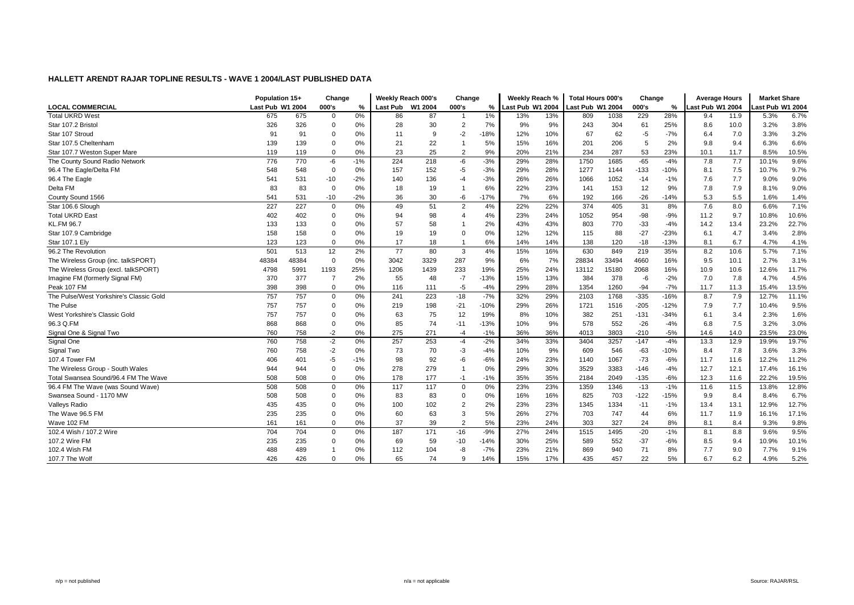|                                         | Population 15+   |       | Change         |       | Weekly Reach 000's |         | Change         |        | Weekly Reach %   |     | <b>Total Hours 000's</b> |       | Change |        | <b>Average Hours</b> |      | <b>Market Share</b> |       |
|-----------------------------------------|------------------|-------|----------------|-------|--------------------|---------|----------------|--------|------------------|-----|--------------------------|-------|--------|--------|----------------------|------|---------------------|-------|
| <b>LOCAL COMMERCIAL</b>                 | Last Pub W1 2004 |       | 000's          | %     | <b>Last Pub</b>    | W1 2004 | 000's          | %      | Last Pub W1 2004 |     | Last Pub W1 2004         |       | 000's  | %      | Last Pub W1 2004     |      | ast Pub W1 2004     |       |
| <b>Total UKRD West</b>                  | 675              | 675   | $\mathbf 0$    | 0%    | 86                 | 87      | $\overline{1}$ | 1%     | 13%              | 13% | 809                      | 1038  | 229    | 28%    | 9.4                  | 11.9 | 5.3%                | 6.7%  |
| Star 107.2 Bristol                      | 326              | 326   | $\Omega$       | 0%    | 28                 | 30      | $\overline{2}$ | 7%     | 9%               | 9%  | 243                      | 304   | 61     | 25%    | 8.6                  | 10.0 | 3.2%                | 3.8%  |
| Star 107 Stroud                         | 91               | 91    | $\mathbf 0$    | 0%    | 11                 | 9       | $-2$           | -18%   | 12%              | 10% | 67                       | 62    | $-5$   | $-7%$  | 6.4                  | 7.0  | 3.3%                | 3.2%  |
| Star 107.5 Cheltenham                   | 139              | 139   | $\mathbf 0$    | 0%    | 21                 | 22      |                | 5%     | 15%              | 16% | 201                      | 206   | 5      | 2%     | 9.8                  | 9.4  | 6.3%                | 6.6%  |
| Star 107.7 Weston Super Mare            | 119              | 119   | $\mathbf 0$    | 0%    | 23                 | 25      | $\overline{2}$ | 9%     | 20%              | 21% | 234                      | 287   | 53     | 23%    | 10.1                 | 11.7 | 8.5%                | 10.5% |
| The County Sound Radio Network          | 776              | 770   | -6             | $-1%$ | 224                | 218     | $-6$           | $-3%$  | 29%              | 28% | 1750                     | 1685  | $-65$  | $-4%$  | 7.8                  | 7.7  | 10.1%               | 9.6%  |
| 96.4 The Eagle/Delta FM                 | 548              | 548   | $\mathbf 0$    | 0%    | 157                | 152     | $-5$           | $-3%$  | 29%              | 28% | 1277                     | 1144  | $-133$ | $-10%$ | 8.1                  | 7.5  | 10.7%               | 9.7%  |
| 96.4 The Eagle                          | 541              | 531   | $-10$          | $-2%$ | 140                | 136     | -4             | $-3%$  | 26%              | 26% | 1066                     | 1052  | $-14$  | $-1%$  | 7.6                  | 7.7  | 9.0%                | 9.0%  |
| Delta FM                                | 83               | 83    | $\overline{0}$ | 0%    | 18                 | 19      |                | 6%     | 22%              | 23% | 141                      | 153   | 12     | 9%     | 7.8                  | 7.9  | 8.1%                | 9.0%  |
| County Sound 1566                       | 541              | 531   | $-10$          | $-2%$ | 36                 | 30      | -6             | $-17%$ | 7%               | 6%  | 192                      | 166   | $-26$  | $-14%$ | 5.3                  | 5.5  | 1.6%                | 1.4%  |
| Star 106.6 Slough                       | 227              | 227   | $\mathbf 0$    | 0%    | 49                 | 51      | $\overline{2}$ | 4%     | 22%              | 22% | 374                      | 405   | 31     | 8%     | 7.6                  | 8.0  | 6.6%                | 7.1%  |
| <b>Total UKRD East</b>                  | 402              | 402   | $\mathbf 0$    | 0%    | 94                 | 98      | 4              | 4%     | 23%              | 24% | 1052                     | 954   | $-98$  | $-9%$  | 11.2                 | 9.7  | 10.8%               | 10.6% |
| <b>KL.FM 96.7</b>                       | 133              | 133   | $\mathbf 0$    | 0%    | 57                 | 58      |                | 2%     | 43%              | 43% | 803                      | 770   | $-33$  | $-4%$  | 14.2                 | 13.4 | 23.2%               | 22.7% |
| Star 107.9 Cambridge                    | 158              | 158   | $\mathbf 0$    | 0%    | 19                 | 19      |                | 0%     | 12%              | 12% | 115                      | 88    | $-27$  | $-23%$ | 6.1                  | 4.7  | 3.4%                | 2.8%  |
| Star 107.1 Ely                          | 123              | 123   | $\mathbf 0$    | 0%    | 17                 | 18      |                | 6%     | 14%              | 14% | 138                      | 120   | $-18$  | $-13%$ | 8.1                  | 6.7  | 4.7%                | 4.1%  |
| 96.2 The Revolution                     | 501              | 513   | 12             | 2%    | 77                 | 80      | 3              | 4%     | 15%              | 16% | 630                      | 849   | 219    | 35%    | 8.2                  | 10.6 | 5.7%                | 7.1%  |
| The Wireless Group (inc. talkSPORT)     | 48384            | 48384 | $\mathbf 0$    | 0%    | 3042               | 3329    | 287            | 9%     | 6%               | 7%  | 28834                    | 33494 | 4660   | 16%    | 9.5                  | 10.1 | 2.7%                | 3.1%  |
| The Wireless Group (excl. talkSPORT)    | 4798             | 5991  | 1193           | 25%   | 1206               | 1439    | 233            | 19%    | 25%              | 24% | 13112                    | 15180 | 2068   | 16%    | 10.9                 | 10.6 | 12.6%               | 11.7% |
| Imagine FM (formerly Signal FM)         | 370              | 377   | $\overline{7}$ | 2%    | 55                 | 48      | $-7$           | $-13%$ | 15%              | 13% | 384                      | 378   | -6     | $-2%$  | 7.0                  | 7.8  | 4.7%                | 4.5%  |
| Peak 107 FM                             | 398              | 398   | $\mathbf 0$    | 0%    | 116                | 111     | $-5$           | $-4%$  | 29%              | 28% | 1354                     | 1260  | $-94$  | $-7%$  | 11.7                 | 11.3 | 15.4%               | 13.5% |
| The Pulse/West Yorkshire's Classic Gold | 757              | 757   | $\mathbf 0$    | 0%    | 241                | 223     | $-18$          | $-7%$  | 32%              | 29% | 2103                     | 1768  | $-335$ | $-16%$ | 8.7                  | 7.9  | 12.7%               | 11.1% |
| The Pulse                               | 757              | 757   | $\mathbf 0$    | 0%    | 219                | 198     | $-21$          | $-10%$ | 29%              | 26% | 1721                     | 1516  | $-205$ | $-12%$ | 7.9                  | 7.7  | 10.4%               | 9.5%  |
| West Yorkshire's Classic Gold           | 757              | 757   | $\mathbf 0$    | 0%    | 63                 | 75      | 12             | 19%    | 8%               | 10% | 382                      | 251   | $-131$ | $-34%$ | 6.1                  | 3.4  | 2.3%                | 1.6%  |
| 96.3 O.FM                               | 868              | 868   | $\mathbf 0$    | 0%    | 85                 | 74      | $-11$          | $-13%$ | 10%              | 9%  | 578                      | 552   | $-26$  | $-4%$  | 6.8                  | 7.5  | 3.2%                | 3.0%  |
| Signal One & Signal Two                 | 760              | 758   | $-2$           | 0%    | 275                | 271     | $-4$           | $-1%$  | 36%              | 36% | 4013                     | 3803  | $-210$ | $-5%$  | 14.6                 | 14.0 | 23.5%               | 23.0% |
| Signal One                              | 760              | 758   | $-2$           | 0%    | 257                | 253     | $-4$           | $-2%$  | 34%              | 33% | 3404                     | 3257  | $-147$ | $-4%$  | 13.3                 | 12.9 | 19.9%               | 19.7% |
| Signal Two                              | 760              | 758   | $-2$           | 0%    | 73                 | 70      | -3             | $-4%$  | 10%              | 9%  | 609                      | 546   | $-63$  | $-10%$ | 8.4                  | 7.8  | 3.6%                | 3.3%  |
| 107.4 Tower FM                          | 406              | 401   | $-5$           | $-1%$ | 98                 | 92      | $-6$           | $-6%$  | 24%              | 23% | 1140                     | 1067  | $-73$  | $-6%$  | 11.7                 | 11.6 | 12.2%               | 11.2% |
| The Wireless Group - South Wales        | 944              | 944   | $\mathbf 0$    | 0%    | 278                | 279     | -1             | 0%     | 29%              | 30% | 3529                     | 3383  | -146   | $-4%$  | 12.7                 | 12.1 | 17.4%               | 16.1% |
| Total Swansea Sound/96.4 FM The Wave    | 508              | 508   | $\mathbf 0$    | 0%    | 178                | 177     | $-1$           | $-1%$  | 35%              | 35% | 2184                     | 2049  | $-135$ | $-6%$  | 12.3                 | 11.6 | 22.2%               | 19.5% |
| 96.4 FM The Wave (was Sound Wave)       | 508              | 508   | 0              | 0%    | 117                | 117     | 0              | 0%     | 23%              | 23% | 1359                     | 1346  | $-13$  | $-1%$  | 11.6                 | 11.5 | 13.8%               | 12.8% |
| Swansea Sound - 1170 MW                 | 508              | 508   | $\mathbf 0$    | 0%    | 83                 | 83      | $\Omega$       | 0%     | 16%              | 16% | 825                      | 703   | $-122$ | $-15%$ | 9.9                  | 8.4  | 8.4%                | 6.7%  |
| <b>Valleys Radio</b>                    | 435              | 435   | $\overline{0}$ | 0%    | 100                | 102     | $\overline{2}$ | 2%     | 23%              | 23% | 1345                     | 1334  | $-11$  | $-1%$  | 13.4                 | 13.1 | 12.9%               | 12.7% |
| The Wave 96.5 FM                        | 235              | 235   | $\mathbf 0$    | 0%    | 60                 | 63      | 3              | 5%     | 26%              | 27% | 703                      | 747   | 44     | 6%     | 11.7                 | 11.9 | 16.1%               | 17.1% |
| Wave 102 FM                             | 161              | 161   | $\mathbf 0$    | 0%    | 37                 | 39      | $\overline{2}$ | 5%     | 23%              | 24% | 303                      | 327   | 24     | 8%     | 8.1                  | 8.4  | 9.3%                | 9.8%  |
| 102.4 Wish / 107.2 Wire                 | 704              | 704   | $\mathbf 0$    | 0%    | 187                | 171     | $-16$          | $-9%$  | 27%              | 24% | 1515                     | 1495  | $-20$  | $-1%$  | 8.1                  | 8.8  | 9.6%                | 9.5%  |
| 107.2 Wire FM                           | 235              | 235   | $\mathbf 0$    | 0%    | 69                 | 59      | $-10$          | $-14%$ | 30%              | 25% | 589                      | 552   | $-37$  | $-6%$  | 8.5                  | 9.4  | 10.9%               | 10.1% |
| 102.4 Wish FM                           | 488              | 489   |                | 0%    | 112                | 104     | $-8$           | $-7%$  | 23%              | 21% | 869                      | 940   | 71     | 8%     | 7.7                  | 9.0  | 7.7%                | 9.1%  |
| 107.7 The Wolf                          | 426              | 426   | $\overline{0}$ | 0%    | 65                 | 74      | 9              | 14%    | 15%              | 17% | 435                      | 457   | 22     | 5%     | 6.7                  | 6.2  | 4.9%                | 5.2%  |